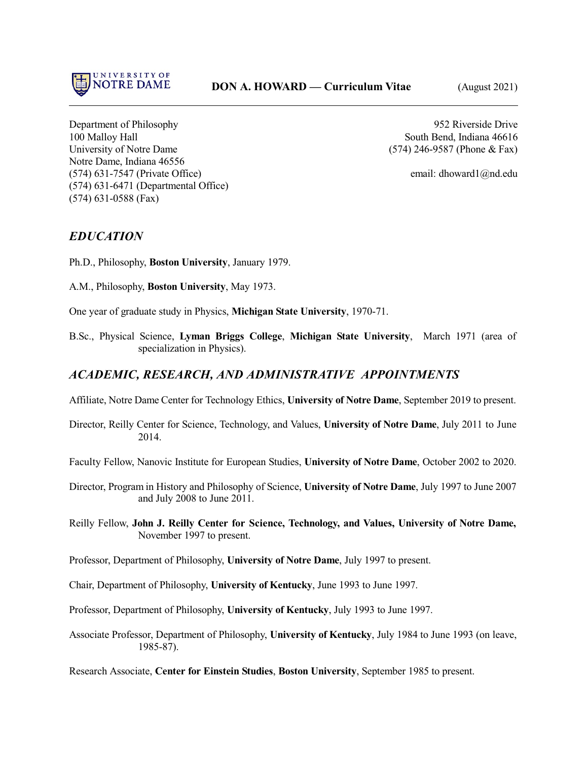

Department of Philosophy 952 Riverside Drive 100 Malloy Hall South Bend, Indiana 46616 University of Notre Dame (574) 246-9587 (Phone & Fax) Notre Dame, Indiana 46556 (574) 631-7547 (Private Office) email: dhoward1@nd.edu (574) 631-6471 (Departmental Office) (574) 631-0588 (Fax)

# *EDUCATION*

Ph.D., Philosophy, **Boston University**, January 1979.

A.M., Philosophy, **Boston University**, May 1973.

One year of graduate study in Physics, **Michigan State University**, 1970-71.

B.Sc., Physical Science, **Lyman Briggs College**, **Michigan State University**, March 1971 (area of specialization in Physics).

# *ACADEMIC, RESEARCH, AND ADMINISTRATIVE APPOINTMENTS*

Affiliate, Notre Dame Center for Technology Ethics, **University of Notre Dame**, September 2019 to present.

Director, Reilly Center for Science, Technology, and Values, **University of Notre Dame**, July 2011 to June 2014.

Faculty Fellow, Nanovic Institute for European Studies, **University of Notre Dame**, October 2002 to 2020.

- Director, Program in History and Philosophy of Science, **University of Notre Dame**, July 1997 to June 2007 and July 2008 to June 2011.
- Reilly Fellow, **John J. Reilly Center for Science, Technology, and Values, University of Notre Dame,** November 1997 to present.

Professor, Department of Philosophy, **University of Notre Dame**, July 1997 to present.

- Chair, Department of Philosophy, **University of Kentucky**, June 1993 to June 1997.
- Professor, Department of Philosophy, **University of Kentucky**, July 1993 to June 1997.
- Associate Professor, Department of Philosophy, **University of Kentucky**, July 1984 to June 1993 (on leave, 1985-87).

Research Associate, **Center for Einstein Studies**, **Boston University**, September 1985 to present.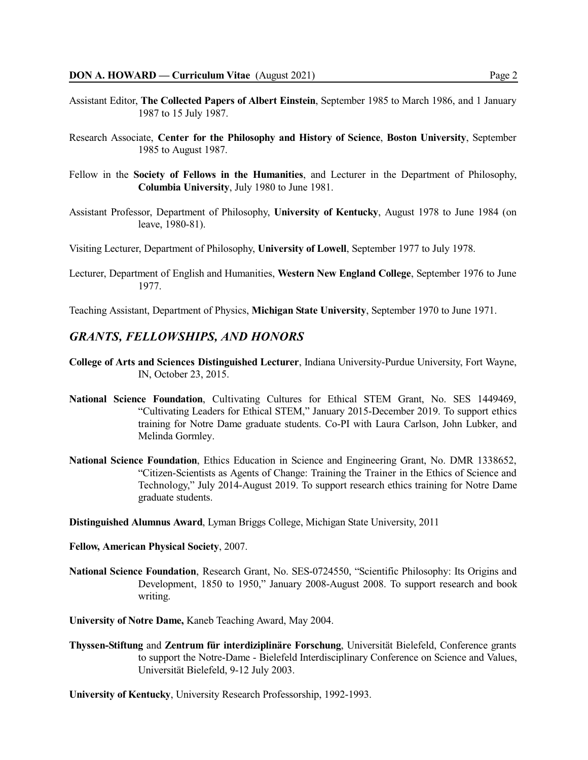- Assistant Editor, **The Collected Papers of Albert Einstein**, September 1985 to March 1986, and 1 January 1987 to 15 July 1987.
- Research Associate, **Center for the Philosophy and History of Science**, **Boston University**, September 1985 to August 1987.
- Fellow in the **Society of Fellows in the Humanities**, and Lecturer in the Department of Philosophy, **Columbia University**, July 1980 to June 1981.
- Assistant Professor, Department of Philosophy, **University of Kentucky**, August 1978 to June 1984 (on leave, 1980-81).
- Visiting Lecturer, Department of Philosophy, **University of Lowell**, September 1977 to July 1978.
- Lecturer, Department of English and Humanities, **Western New England College**, September 1976 to June 1977.

Teaching Assistant, Department of Physics, **Michigan State University**, September 1970 to June 1971.

### *GRANTS, FELLOWSHIPS, AND HONORS*

- **College of Arts and Sciences Distinguished Lecturer**, Indiana University-Purdue University, Fort Wayne, IN, October 23, 2015.
- **National Science Foundation**, Cultivating Cultures for Ethical STEM Grant, No. SES 1449469, "Cultivating Leaders for Ethical STEM," January 2015-December 2019. To support ethics training for Notre Dame graduate students. Co-PI with Laura Carlson, John Lubker, and Melinda Gormley.
- **National Science Foundation**, Ethics Education in Science and Engineering Grant, No. DMR 1338652, "Citizen-Scientists as Agents of Change: Training the Trainer in the Ethics of Science and Technology," July 2014-August 2019. To support research ethics training for Notre Dame graduate students.

**Distinguished Alumnus Award**, Lyman Briggs College, Michigan State University, 2011

- **Fellow, American Physical Society**, 2007.
- **National Science Foundation**, Research Grant, No. SES-0724550, "Scientific Philosophy: Its Origins and Development, 1850 to 1950," January 2008-August 2008. To support research and book writing.

**University of Notre Dame,** Kaneb Teaching Award, May 2004.

**Thyssen-Stiftung** and **Zentrum für interdiziplinäre Forschung**, Universität Bielefeld, Conference grants to support the Notre-Dame - Bielefeld Interdisciplinary Conference on Science and Values, Universität Bielefeld, 9-12 July 2003.

**University of Kentucky**, University Research Professorship, 1992-1993.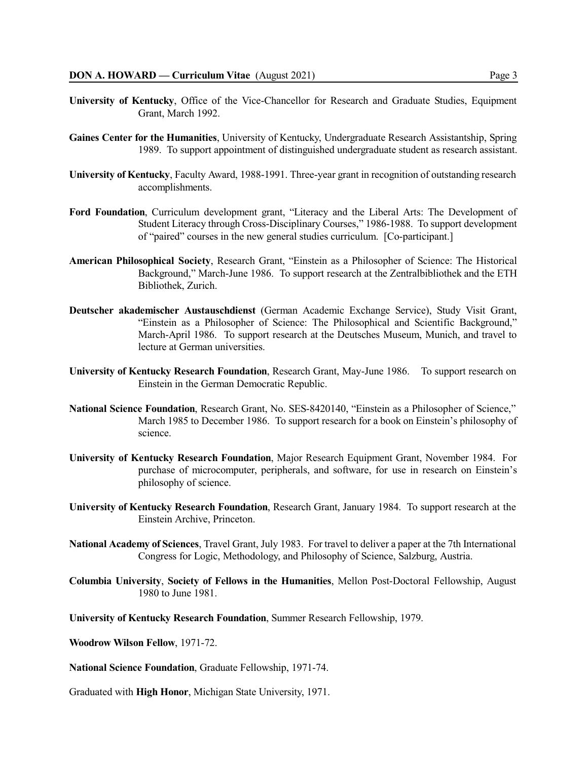- **University of Kentucky**, Office of the Vice-Chancellor for Research and Graduate Studies, Equipment Grant, March 1992.
- **Gaines Center for the Humanities**, University of Kentucky, Undergraduate Research Assistantship, Spring 1989. To support appointment of distinguished undergraduate student as research assistant.
- **University of Kentucky**, Faculty Award, 1988-1991. Three-year grant in recognition of outstanding research accomplishments.
- **Ford Foundation**, Curriculum development grant, "Literacy and the Liberal Arts: The Development of Student Literacy through Cross-Disciplinary Courses," 1986-1988. To support development of "paired" courses in the new general studies curriculum. [Co-participant.]
- **American Philosophical Society**, Research Grant, "Einstein as a Philosopher of Science: The Historical Background," March-June 1986. To support research at the Zentralbibliothek and the ETH Bibliothek, Zurich.
- **Deutscher akademischer Austauschdienst** (German Academic Exchange Service), Study Visit Grant, "Einstein as a Philosopher of Science: The Philosophical and Scientific Background," March-April 1986. To support research at the Deutsches Museum, Munich, and travel to lecture at German universities.
- **University of Kentucky Research Foundation**, Research Grant, May-June 1986. To support research on Einstein in the German Democratic Republic.
- **National Science Foundation**, Research Grant, No. SES-8420140, "Einstein as a Philosopher of Science," March 1985 to December 1986. To support research for a book on Einstein's philosophy of science.
- **University of Kentucky Research Foundation**, Major Research Equipment Grant, November 1984. For purchase of microcomputer, peripherals, and software, for use in research on Einstein's philosophy of science.
- **University of Kentucky Research Foundation**, Research Grant, January 1984. To support research at the Einstein Archive, Princeton.
- **National Academy of Sciences**, Travel Grant, July 1983. For travel to deliver a paper at the 7th International Congress for Logic, Methodology, and Philosophy of Science, Salzburg, Austria.
- **Columbia University**, **Society of Fellows in the Humanities**, Mellon Post-Doctoral Fellowship, August 1980 to June 1981.

**University of Kentucky Research Foundation**, Summer Research Fellowship, 1979.

- **Woodrow Wilson Fellow**, 1971-72.
- **National Science Foundation**, Graduate Fellowship, 1971-74.

Graduated with **High Honor**, Michigan State University, 1971.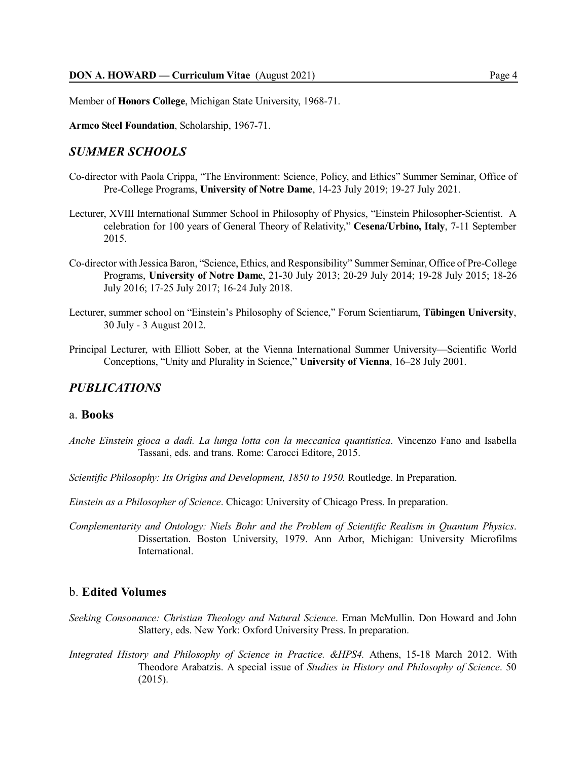Member of **Honors College**, Michigan State University, 1968-71.

**Armco Steel Foundation**, Scholarship, 1967-71.

# *SUMMER SCHOOLS*

- Co-director with Paola Crippa, "The Environment: Science, Policy, and Ethics" Summer Seminar, Office of Pre-College Programs, **University of Notre Dame**, 14-23 July 2019; 19-27 July 2021.
- Lecturer, XVIII International Summer School in Philosophy of Physics, "Einstein Philosopher-Scientist. A celebration for 100 years of General Theory of Relativity," **Cesena/Urbino, Italy**, 7-11 September 2015.
- Co-director with Jessica Baron, "Science, Ethics, and Responsibility" Summer Seminar, Office of Pre-College Programs, **University of Notre Dame**, 21-30 July 2013; 20-29 July 2014; 19-28 July 2015; 18-26 July 2016; 17-25 July 2017; 16-24 July 2018.
- Lecturer, summer school on "Einstein's Philosophy of Science," Forum Scientiarum, **Tübingen University**, 30 July - 3 August 2012.
- Principal Lecturer, with Elliott Sober, at the Vienna International Summer University—Scientific World Conceptions, "Unity and Plurality in Science," **University of Vienna**, 16–28 July 2001.

## *PUBLICATIONS*

#### a. **Books**

- *Anche Einstein gioca a dadi. La lunga lotta con la meccanica quantistica*. Vincenzo Fano and Isabella Tassani, eds. and trans. Rome: Carocci Editore, 2015.
- *Scientific Philosophy: Its Origins and Development, 1850 to 1950.* Routledge. In Preparation.

*Einstein as a Philosopher of Science*. Chicago: University of Chicago Press. In preparation.

*Complementarity and Ontology: Niels Bohr and the Problem of Scientific Realism in Quantum Physics*. Dissertation. Boston University, 1979. Ann Arbor, Michigan: University Microfilms **International** 

# b. **Edited Volumes**

- *Seeking Consonance: Christian Theology and Natural Science*. Ernan McMullin. Don Howard and John Slattery, eds. New York: Oxford University Press. In preparation.
- *Integrated History and Philosophy of Science in Practice. &HPS4.* Athens, 15-18 March 2012. With Theodore Arabatzis. A special issue of *Studies in History and Philosophy of Science*. 50 (2015).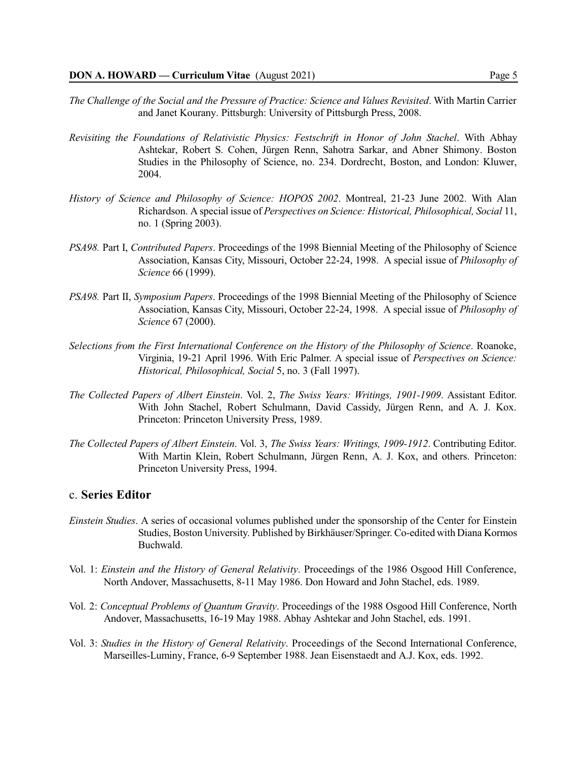- *The Challenge of the Social and the Pressure of Practice: Science and Values Revisited*. With Martin Carrier and Janet Kourany. Pittsburgh: University of Pittsburgh Press, 2008.
- *Revisiting the Foundations of Relativistic Physics: Festschrift in Honor of John Stachel*. With Abhay Ashtekar, Robert S. Cohen, Jürgen Renn, Sahotra Sarkar, and Abner Shimony. Boston Studies in the Philosophy of Science, no. 234. Dordrecht, Boston, and London: Kluwer, 2004.
- *History of Science and Philosophy of Science: HOPOS 2002*. Montreal, 21-23 June 2002. With Alan Richardson. A special issue of *Perspectives on Science: Historical, Philosophical, Social* 11, no. 1 (Spring 2003).
- *PSA98.* Part I, *Contributed Papers*. Proceedings of the 1998 Biennial Meeting of the Philosophy of Science Association, Kansas City, Missouri, October 22-24, 1998. A special issue of *Philosophy of Science* 66 (1999).
- *PSA98.* Part II, *Symposium Papers*. Proceedings of the 1998 Biennial Meeting of the Philosophy of Science Association, Kansas City, Missouri, October 22-24, 1998. A special issue of *Philosophy of Science* 67 (2000).
- *Selections from the First International Conference on the History of the Philosophy of Science*. Roanoke, Virginia, 19-21 April 1996. With Eric Palmer. A special issue of *Perspectives on Science: Historical, Philosophical, Social* 5, no. 3 (Fall 1997).
- *The Collected Papers of Albert Einstein*. Vol. 2, *The Swiss Years: Writings, 1901-1909*. Assistant Editor. With John Stachel, Robert Schulmann, David Cassidy, Jürgen Renn, and A. J. Kox. Princeton: Princeton University Press, 1989.
- *The Collected Papers of Albert Einstein*. Vol. 3, *The Swiss Years: Writings, 1909-1912*. Contributing Editor. With Martin Klein, Robert Schulmann, Jürgen Renn, A. J. Kox, and others. Princeton: Princeton University Press, 1994.

## c. **Series Editor**

- *Einstein Studies*. A series of occasional volumes published under the sponsorship of the Center for Einstein Studies, Boston University. Published by Birkhäuser/Springer. Co-edited with Diana Kormos Buchwald.
- Vol. 1: *Einstein and the History of General Relativity*. Proceedings of the 1986 Osgood Hill Conference, North Andover, Massachusetts, 8-11 May 1986. Don Howard and John Stachel, eds. 1989.
- Vol. 2: *Conceptual Problems of Quantum Gravity*. Proceedings of the 1988 Osgood Hill Conference, North Andover, Massachusetts, 16-19 May 1988. Abhay Ashtekar and John Stachel, eds. 1991.
- Vol. 3: *Studies in the History of General Relativity*. Proceedings of the Second International Conference, Marseilles-Luminy, France, 6-9 September 1988. Jean Eisenstaedt and A.J. Kox, eds. 1992.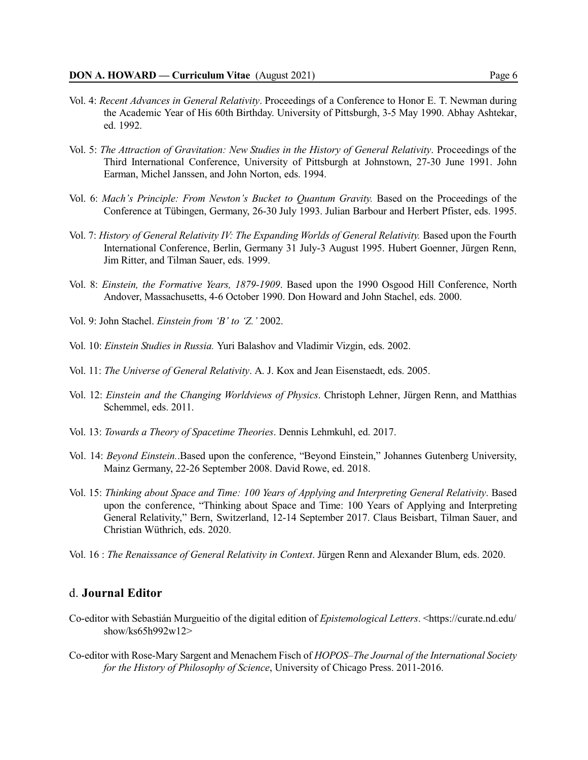- Vol. 4: *Recent Advances in General Relativity*. Proceedings of a Conference to Honor E. T. Newman during the Academic Year of His 60th Birthday. University of Pittsburgh, 3-5 May 1990. Abhay Ashtekar, ed. 1992.
- Vol. 5: *The Attraction of Gravitation: New Studies in the History of General Relativity*. Proceedings of the Third International Conference, University of Pittsburgh at Johnstown, 27-30 June 1991. John Earman, Michel Janssen, and John Norton, eds. 1994.
- Vol. 6: *Mach's Principle: From Newton's Bucket to Quantum Gravity.* Based on the Proceedings of the Conference at Tübingen, Germany, 26-30 July 1993. Julian Barbour and Herbert Pfister, eds. 1995.
- Vol. 7: *History of General Relativity IV: The Expanding Worlds of General Relativity.* Based upon the Fourth International Conference, Berlin, Germany 31 July-3 August 1995. Hubert Goenner, Jürgen Renn, Jim Ritter, and Tilman Sauer, eds. 1999.
- Vol. 8: *Einstein, the Formative Years, 1879-1909*. Based upon the 1990 Osgood Hill Conference, North Andover, Massachusetts, 4-6 October 1990. Don Howard and John Stachel, eds. 2000.
- Vol. 9: John Stachel. *Einstein from 'B' to 'Z.'* 2002.
- Vol. 10: *Einstein Studies in Russia.* Yuri Balashov and Vladimir Vizgin, eds. 2002.
- Vol. 11: *The Universe of General Relativity*. A. J. Kox and Jean Eisenstaedt, eds. 2005.
- Vol. 12: *Einstein and the Changing Worldviews of Physics*. Christoph Lehner, Jürgen Renn, and Matthias Schemmel, eds. 2011.
- Vol. 13: *Towards a Theory of Spacetime Theories*. Dennis Lehmkuhl, ed. 2017.
- Vol. 14: *Beyond Einstein.*.Based upon the conference, "Beyond Einstein," Johannes Gutenberg University, Mainz Germany, 22-26 September 2008. David Rowe, ed. 2018.
- Vol. 15: *Thinking about Space and Time: 100 Years of Applying and Interpreting General Relativity*. Based upon the conference, "Thinking about Space and Time: 100 Years of Applying and Interpreting General Relativity," Bern, Switzerland, 12-14 September 2017. Claus Beisbart, Tilman Sauer, and Christian Wüthrich, eds. 2020.
- Vol. 16 : *The Renaissance of General Relativity in Context*. Jürgen Renn and Alexander Blum, eds. 2020.

# d. **Journal Editor**

- Co-editor with Sebastián Murgueitio of the digital edition of *Epistemological Letters*. <https://curate.nd.edu/ show/ks65h992w12>
- Co-editor with Rose-Mary Sargent and Menachem Fisch of *HOPOS–The Journal of the International Society for the History of Philosophy of Science*, University of Chicago Press. 2011-2016.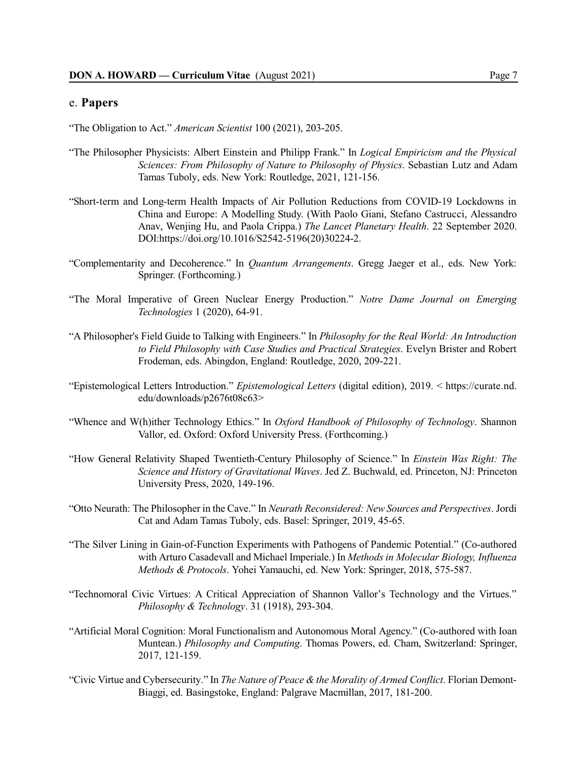## e. **Papers**

"The Obligation to Act." *American Scientist* 100 (2021), 203-205.

- "The Philosopher Physicists: Albert Einstein and Philipp Frank." In *Logical Empiricism and the Physical Sciences: From Philosophy of Nature to Philosophy of Physics*. Sebastian Lutz and Adam Tamas Tuboly, eds. New York: Routledge, 2021, 121-156.
- "Short-term and Long-term Health Impacts of Air Pollution Reductions from COVID-19 Lockdowns in China and Europe: A Modelling Study. (With Paolo Giani, Stefano Castrucci, Alessandro Anav, Wenjing Hu, and Paola Crippa.) *The Lancet Planetary Health*. 22 September 2020. DOI:https://doi.org/10.1016/S2542-5196(20)30224-2.
- "Complementarity and Decoherence." In *Quantum Arrangements*. Gregg Jaeger et al., eds. New York: Springer. (Forthcoming.)
- "The Moral Imperative of Green Nuclear Energy Production." *Notre Dame Journal on Emerging Technologies* 1 (2020), 64-91.
- "A Philosopher's Field Guide to Talking with Engineers." In *Philosophy for the Real World: An Introduction to Field Philosophy with Case Studies and Practical Strategies*. Evelyn Brister and Robert Frodeman, eds. Abingdon, England: Routledge, 2020, 209-221.
- "Epistemological Letters Introduction." *Epistemological Letters* (digital edition), 2019. < https://curate.nd. edu/downloads/p2676t08c63>
- "Whence and W(h)ither Technology Ethics." In *Oxford Handbook of Philosophy of Technology*. Shannon Vallor, ed. Oxford: Oxford University Press. (Forthcoming.)
- "How General Relativity Shaped Twentieth-Century Philosophy of Science." In *Einstein Was Right: The Science and History of Gravitational Waves*. Jed Z. Buchwald, ed. Princeton, NJ: Princeton University Press, 2020, 149-196.
- "Otto Neurath: The Philosopher in the Cave." In *Neurath Reconsidered: NewSources and Perspectives*. Jordi Cat and Adam Tamas Tuboly, eds. Basel: Springer, 2019, 45-65.
- "The Silver Lining in Gain-of-Function Experiments with Pathogens of Pandemic Potential." (Co-authored with Arturo Casadevall and Michael Imperiale.) In *Methods in Molecular Biology, Influenza Methods & Protocols*. Yohei Yamauchi, ed. New York: Springer, 2018, 575-587.
- "Technomoral Civic Virtues: A Critical Appreciation of Shannon Vallor's Technology and the Virtues." *Philosophy & Technology*. 31 (1918), 293-304.
- "Artificial Moral Cognition: Moral Functionalism and Autonomous Moral Agency." (Co-authored with Ioan Muntean.) *Philosophy and Computing*. Thomas Powers, ed. Cham, Switzerland: Springer, 2017, 121-159.
- "Civic Virtue and Cybersecurity." In *The Nature of Peace & the Morality of Armed Conflict*. Florian Demont-Biaggi, ed. Basingstoke, England: Palgrave Macmillan, 2017, 181-200.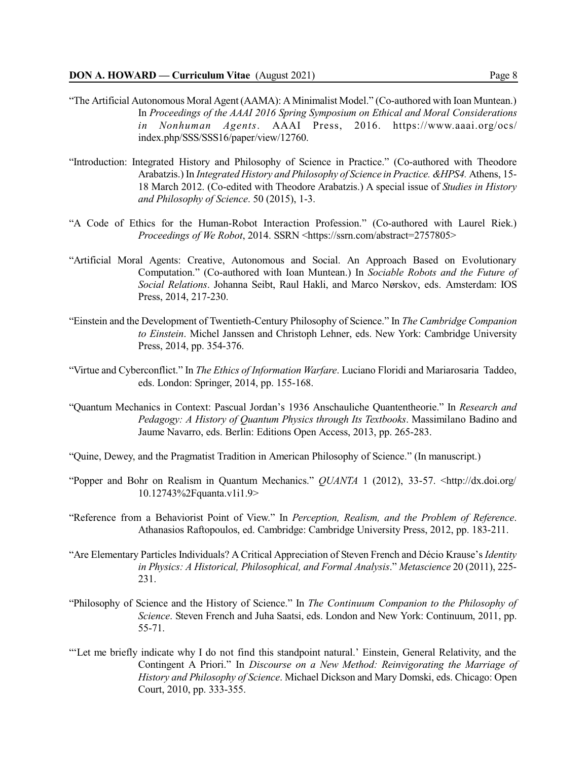- "The Artificial Autonomous Moral Agent (AAMA): AMinimalist Model." (Co-authored with Ioan Muntean.) In *Proceedings of the AAAI 2016 Spring Symposium on Ethical and Moral Considerations in Nonhuman Agents*. AAAI Press, 2016. https://www.aaai.org/ocs/ index.php/SSS/SSS16/paper/view/12760.
- "Introduction: Integrated History and Philosophy of Science in Practice." (Co-authored with Theodore Arabatzis.) In *Integrated History and Philosophy of Science in Practice. &HPS4.* Athens, 15- 18 March 2012. (Co-edited with Theodore Arabatzis.) A special issue of *Studies in History and Philosophy of Science*. 50 (2015), 1-3.
- "A Code of Ethics for the Human-Robot Interaction Profession." (Co-authored with Laurel Riek.) *Proceedings of We Robot*, 2014. SSRN <https://ssrn.com/abstract=2757805>
- "Artificial Moral Agents: Creative, Autonomous and Social. An Approach Based on Evolutionary Computation." (Co-authored with Ioan Muntean.) In *Sociable Robots and the Future of Social Relations*. Johanna Seibt, Raul Hakli, and Marco Nørskov, eds. Amsterdam: IOS Press, 2014, 217-230.
- "Einstein and the Development of Twentieth-Century Philosophy of Science." In *The Cambridge Companion to Einstein*. Michel Janssen and Christoph Lehner, eds. New York: Cambridge University Press, 2014, pp. 354-376.
- "Virtue and Cyberconflict." In *The Ethics of Information Warfare*. Luciano Floridi and Mariarosaria Taddeo, eds. London: Springer, 2014, pp. 155-168.
- "Quantum Mechanics in Context: Pascual Jordan's 1936 Anschauliche Quantentheorie." In *Research and Pedagogy: A History of Quantum Physics through Its Textbooks*. Massimilano Badino and Jaume Navarro, eds. Berlin: Editions Open Access, 2013, pp. 265-283.
- "Quine, Dewey, and the Pragmatist Tradition in American Philosophy of Science." (In manuscript.)
- "Popper and Bohr on Realism in Quantum Mechanics." *QUANTA* 1 (2012), 33-57. <http://dx.doi.org/ 10.12743%2Fquanta.v1i1.9>
- "Reference from a Behaviorist Point of View." In *Perception, Realism, and the Problem of Reference*. Athanasios Raftopoulos, ed. Cambridge: Cambridge University Press, 2012, pp. 183-211.
- "Are Elementary Particles Individuals? A Critical Appreciation of Steven French and Décio Krause's *Identity in Physics: A Historical, Philosophical, and Formal Analysis*." *Metascience* 20 (2011), 225- 231.
- "Philosophy of Science and the History of Science." In *The Continuum Companion to the Philosophy of Science*. Steven French and Juha Saatsi, eds. London and New York: Continuum, 2011, pp. 55-71.
- "'Let me briefly indicate why I do not find this standpoint natural.' Einstein, General Relativity, and the Contingent A Priori." In *Discourse on a New Method: Reinvigorating the Marriage of History and Philosophy of Science*. Michael Dickson and Mary Domski, eds. Chicago: Open Court, 2010, pp. 333-355.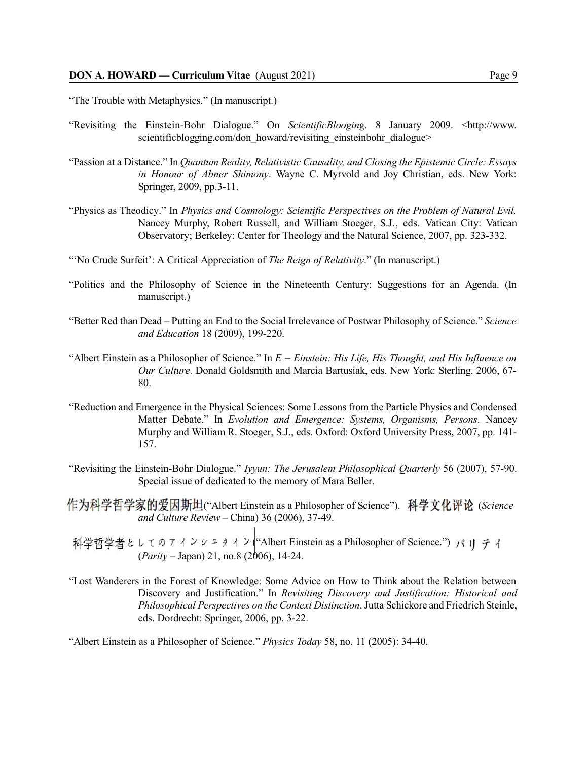"The Trouble with Metaphysics." (In manuscript.)

- "Revisiting the Einstein-Bohr Dialogue." On *ScientificBloogin*g. 8 January 2009. <http://www. scientificblogging.com/don\_howard/revisiting\_einsteinbohr\_dialogue>
- "Passion at a Distance." In *Quantum Reality, Relativistic Causality, and Closing the Epistemic Circle: Essays in Honour of Abner Shimony*. Wayne C. Myrvold and Joy Christian, eds. New York: Springer, 2009, pp.3-11.
- "Physics as Theodicy." In *Physics and Cosmology: Scientific Perspectives on the Problem of Natural Evil.* Nancey Murphy, Robert Russell, and William Stoeger, S.J., eds. Vatican City: Vatican Observatory; Berkeley: Center for Theology and the Natural Science, 2007, pp. 323-332.
- "'No Crude Surfeit': A Critical Appreciation of *The Reign of Relativity*." (In manuscript.)
- "Politics and the Philosophy of Science in the Nineteenth Century: Suggestions for an Agenda. (In manuscript.)
- "Better Red than Dead Putting an End to the Social Irrelevance of Postwar Philosophy of Science." *Science and Education* 18 (2009), 199-220.
- "Albert Einstein as a Philosopher of Science." In *E = Einstein: His Life, His Thought, and His Influence on Our Culture*. Donald Goldsmith and Marcia Bartusiak, eds. New York: Sterling, 2006, 67- 80.
- "Reduction and Emergence in the Physical Sciences: Some Lessons from the Particle Physics and Condensed Matter Debate." In *Evolution and Emergence: Systems, Organisms, Persons*. Nancey Murphy and William R. Stoeger, S.J., eds. Oxford: Oxford University Press, 2007, pp. 141- 157.
- "Revisiting the Einstein-Bohr Dialogue." *Iyyun: The Jerusalem Philosophical Quarterly* 56 (2007), 57-90. Special issue of dedicated to the memory of Mara Beller.
- 作为科学哲学家的爱因斯坦("Albert Einstein as a Philosopher of Science"). 科学文化评论 (Science *and Culture Review* – China) 36 (2006), 37-49.
- ("Albert Einstein as a Philosopher of Science.") (*Parity* – Japan) 21, no.8 (2006), 14-24.
- "Lost Wanderers in the Forest of Knowledge: Some Advice on How to Think about the Relation between Discovery and Justification." In *Revisiting Discovery and Justification: Historical and Philosophical Perspectives on the Context Distinction*. Jutta Schickore and Friedrich Steinle, eds. Dordrecht: Springer, 2006, pp. 3-22.

"Albert Einstein as a Philosopher of Science." *Physics Today* 58, no. 11 (2005): 34-40.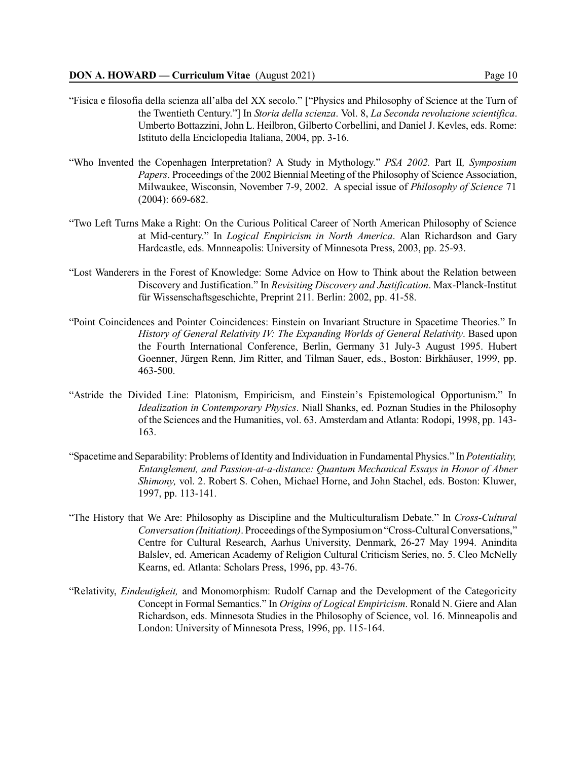- "Fisica e filosofia della scienza all'alba del XX secolo." ["Physics and Philosophy of Science at the Turn of the Twentieth Century."] In *Storia della scienza*. Vol. 8, *La Seconda revoluzione scientifica*. Umberto Bottazzini, John L. Heilbron, Gilberto Corbellini, and Daniel J. Kevles, eds. Rome: Istituto della Enciclopedia Italiana, 2004, pp. 3-16.
- "Who Invented the Copenhagen Interpretation? A Study in Mythology." *PSA 2002.* Part II*, Symposium Papers*. Proceedings of the 2002 Biennial Meeting of the Philosophy of Science Association, Milwaukee, Wisconsin, November 7-9, 2002. A special issue of *Philosophy of Science* 71 (2004): 669-682.
- "Two Left Turns Make a Right: On the Curious Political Career of North American Philosophy of Science at Mid-century." In *Logical Empiricism in North America*. Alan Richardson and Gary Hardcastle, eds. Mnnneapolis: University of Minnesota Press, 2003, pp. 25-93.
- "Lost Wanderers in the Forest of Knowledge: Some Advice on How to Think about the Relation between Discovery and Justification." In *Revisiting Discovery and Justification*. Max-Planck-Institut für Wissenschaftsgeschichte, Preprint 211. Berlin: 2002, pp. 41-58.
- "Point Coincidences and Pointer Coincidences: Einstein on Invariant Structure in Spacetime Theories." In *History of General Relativity IV: The Expanding Worlds of General Relativity*. Based upon the Fourth International Conference, Berlin, Germany 31 July-3 August 1995. Hubert Goenner, Jürgen Renn, Jim Ritter, and Tilman Sauer, eds., Boston: Birkhäuser, 1999, pp. 463-500.
- "Astride the Divided Line: Platonism, Empiricism, and Einstein's Epistemological Opportunism." In *Idealization in Contemporary Physics*. Niall Shanks, ed. Poznan Studies in the Philosophy of the Sciences and the Humanities, vol. 63. Amsterdam and Atlanta: Rodopi, 1998, pp. 143- 163.
- "Spacetime and Separability: Problems of Identity and Individuation in Fundamental Physics." In *Potentiality, Entanglement, and Passion-at-a-distance: Quantum Mechanical Essays in Honor of Abner Shimony,* vol. 2. Robert S. Cohen, Michael Horne, and John Stachel, eds. Boston: Kluwer, 1997, pp. 113-141.
- "The History that We Are: Philosophy as Discipline and the Multiculturalism Debate." In *Cross-Cultural Conversation (Initiation)*. Proceedings ofthe Symposiumon "Cross-CulturalConversations," Centre for Cultural Research, Aarhus University, Denmark, 26-27 May 1994. Anindita Balslev, ed. American Academy of Religion Cultural Criticism Series, no. 5. Cleo McNelly Kearns, ed. Atlanta: Scholars Press, 1996, pp. 43-76.
- "Relativity, *Eindeutigkeit,* and Monomorphism: Rudolf Carnap and the Development of the Categoricity Concept in Formal Semantics." In *Origins of Logical Empiricism*. Ronald N. Giere and Alan Richardson, eds. Minnesota Studies in the Philosophy of Science, vol. 16. Minneapolis and London: University of Minnesota Press, 1996, pp. 115-164.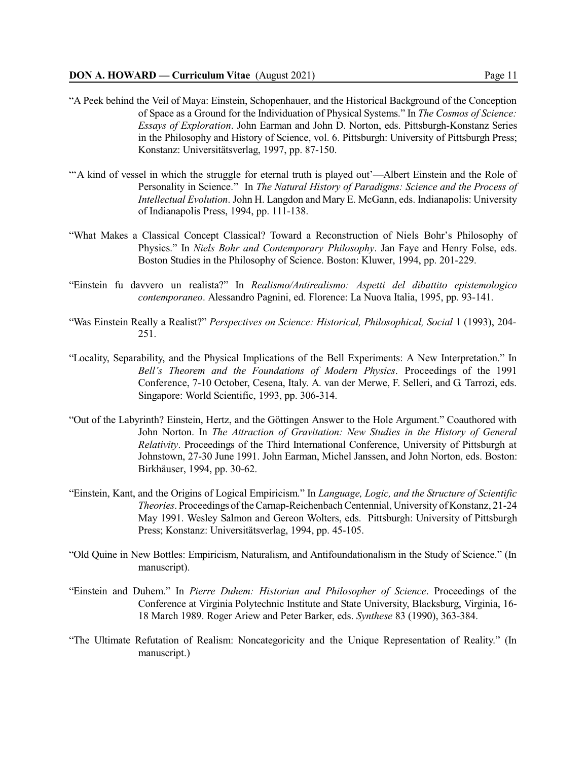- "A Peek behind the Veil of Maya: Einstein, Schopenhauer, and the Historical Background of the Conception of Space as a Ground for the Individuation of Physical Systems." In *The Cosmos of Science: Essays of Exploration*. John Earman and John D. Norton, eds. Pittsburgh-Konstanz Series in the Philosophy and History of Science, vol. 6. Pittsburgh: University of Pittsburgh Press; Konstanz: Universitätsverlag, 1997, pp. 87-150.
- "'A kind of vessel in which the struggle for eternal truth is played out'—Albert Einstein and the Role of Personality in Science." In *The Natural History of Paradigms: Science and the Process of Intellectual Evolution*. John H. Langdon and Mary E. McGann, eds. Indianapolis: University of Indianapolis Press, 1994, pp. 111-138.
- "What Makes a Classical Concept Classical? Toward a Reconstruction of Niels Bohr's Philosophy of Physics." In *Niels Bohr and Contemporary Philosophy*. Jan Faye and Henry Folse, eds. Boston Studies in the Philosophy of Science. Boston: Kluwer, 1994, pp. 201-229.
- "Einstein fu davvero un realista?" In *Realismo/Antirealismo: Aspetti del dibattito epistemologico contemporaneo*. Alessandro Pagnini, ed. Florence: La Nuova Italia, 1995, pp. 93-141.
- "Was Einstein Really a Realist?" *Perspectives on Science: Historical, Philosophical, Social* 1 (1993), 204- 251.
- "Locality, Separability, and the Physical Implications of the Bell Experiments: A New Interpretation." In *Bell's Theorem and the Foundations of Modern Physics*. Proceedings of the 1991 Conference, 7-10 October, Cesena, Italy. A. van der Merwe, F. Selleri, and G. Tarrozi, eds. Singapore: World Scientific, 1993, pp. 306-314.
- "Out of the Labyrinth? Einstein, Hertz, and the Göttingen Answer to the Hole Argument." Coauthored with John Norton. In *The Attraction of Gravitation: New Studies in the History of General Relativity*. Proceedings of the Third International Conference, University of Pittsburgh at Johnstown, 27-30 June 1991. John Earman, Michel Janssen, and John Norton, eds. Boston: Birkhäuser, 1994, pp. 30-62.
- "Einstein, Kant, and the Origins of Logical Empiricism." In *Language, Logic, and the Structure of Scientific Theories*. Proceedings of the Carnap-Reichenbach Centennial, University of Konstanz, 21-24 May 1991. Wesley Salmon and Gereon Wolters, eds. Pittsburgh: University of Pittsburgh Press; Konstanz: Universitätsverlag, 1994, pp. 45-105.
- "Old Quine in New Bottles: Empiricism, Naturalism, and Antifoundationalism in the Study of Science." (In manuscript).
- "Einstein and Duhem." In *Pierre Duhem: Historian and Philosopher of Science*. Proceedings of the Conference at Virginia Polytechnic Institute and State University, Blacksburg, Virginia, 16- 18 March 1989. Roger Ariew and Peter Barker, eds. *Synthese* 83 (1990), 363-384.
- "The Ultimate Refutation of Realism: Noncategoricity and the Unique Representation of Reality." (In manuscript.)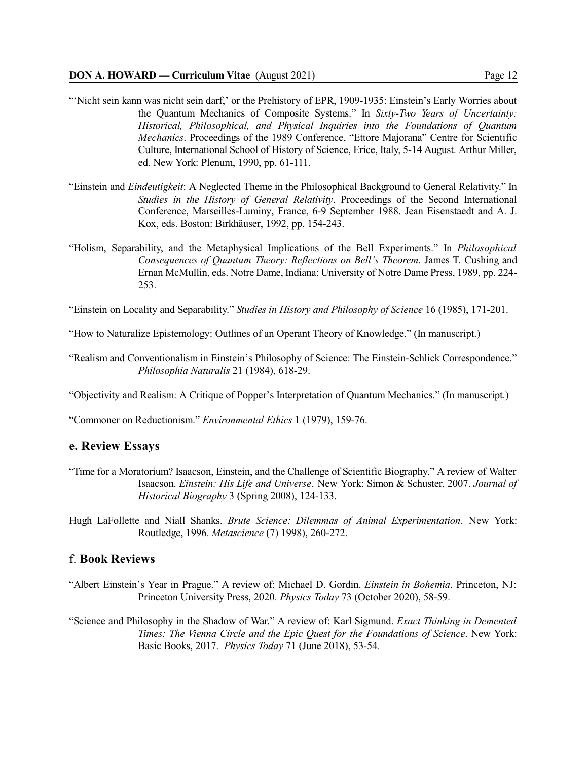- "'Nicht sein kann was nicht sein darf,' or the Prehistory of EPR, 1909-1935: Einstein's Early Worries about the Quantum Mechanics of Composite Systems." In *Sixty-Two Years of Uncertainty: Historical, Philosophical, and Physical Inquiries into the Foundations of Quantum Mechanics*. Proceedings of the 1989 Conference, "Ettore Majorana" Centre for Scientific Culture, International School of History of Science, Erice, Italy, 5-14 August. Arthur Miller, ed. New York: Plenum, 1990, pp. 61-111.
- "Einstein and *Eindeutigkeit*: A Neglected Theme in the Philosophical Background to General Relativity." In *Studies in the History of General Relativity*. Proceedings of the Second International Conference, Marseilles-Luminy, France, 6-9 September 1988. Jean Eisenstaedt and A. J. Kox, eds. Boston: Birkhäuser, 1992, pp. 154-243.
- "Holism, Separability, and the Metaphysical Implications of the Bell Experiments." In *Philosophical Consequences of Quantum Theory: Reflections on Bell's Theorem*. James T. Cushing and Ernan McMullin, eds. Notre Dame, Indiana: University of Notre Dame Press, 1989, pp. 224- 253.

"Einstein on Locality and Separability." *Studies in History and Philosophy of Science* 16 (1985), 171-201.

"How to Naturalize Epistemology: Outlines of an Operant Theory of Knowledge." (In manuscript.)

"Realism and Conventionalism in Einstein's Philosophy of Science: The Einstein-Schlick Correspondence." *Philosophia Naturalis* 21 (1984), 618-29.

"Objectivity and Realism: A Critique of Popper's Interpretation of Quantum Mechanics." (In manuscript.)

"Commoner on Reductionism." *Environmental Ethics* 1 (1979), 159-76.

## **e. Review Essays**

- "Time for a Moratorium? Isaacson, Einstein, and the Challenge of Scientific Biography." A review of Walter Isaacson. *Einstein: His Life and Universe*. New York: Simon & Schuster, 2007. *Journal of Historical Biography* 3 (Spring 2008), 124-133.
- Hugh LaFollette and Niall Shanks. *Brute Science: Dilemmas of Animal Experimentation*. New York: Routledge, 1996. *Metascience* (7) 1998), 260-272.

## f. **Book Reviews**

- "Albert Einstein's Year in Prague." A review of: Michael D. Gordin. *Einstein in Bohemia*. Princeton, NJ: Princeton University Press, 2020. *Physics Today* 73 (October 2020), 58-59.
- "Science and Philosophy in the Shadow of War." A review of: Karl Sigmund. *Exact Thinking in Demented Times: The Vienna Circle and the Epic Quest for the Foundations of Science*. New York: Basic Books, 2017. *Physics Today* 71 (June 2018), 53-54.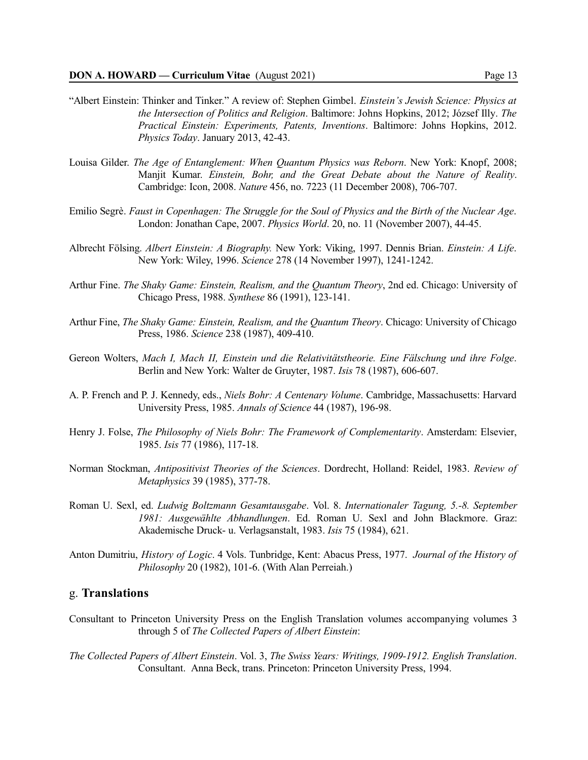- "Albert Einstein: Thinker and Tinker." A review of: Stephen Gimbel. *Einstein's Jewish Science: Physics at the Intersection of Politics and Religion*. Baltimore: Johns Hopkins, 2012; József Illy. *The Practical Einstein: Experiments, Patents, Inventions*. Baltimore: Johns Hopkins, 2012. *Physics Today*. January 2013, 42-43.
- Louisa Gilder. *The Age of Entanglement: When Quantum Physics was Reborn*. New York: Knopf, 2008; Manjit Kumar. *Einstein, Bohr, and the Great Debate about the Nature of Reality*. Cambridge: Icon, 2008. *Nature* 456, no. 7223 (11 December 2008), 706-707.
- Emilio Segrè. *Faust in Copenhagen: The Struggle for the Soul of Physics and the Birth of the Nuclear Age*. London: Jonathan Cape, 2007. *Physics World*. 20, no. 11 (November 2007), 44-45.
- Albrecht Fölsing. *Albert Einstein: A Biography.* New York: Viking, 1997. Dennis Brian. *Einstein: A Life*. New York: Wiley, 1996. *Science* 278 (14 November 1997), 1241-1242.
- Arthur Fine. *The Shaky Game: Einstein, Realism, and the Quantum Theory*, 2nd ed. Chicago: University of Chicago Press, 1988. *Synthese* 86 (1991), 123-141.
- Arthur Fine, *The Shaky Game: Einstein, Realism, and the Quantum Theory*. Chicago: University of Chicago Press, 1986. *Science* 238 (1987), 409-410.
- Gereon Wolters, *Mach I, Mach II, Einstein und die Relativitätstheorie. Eine Fälschung und ihre Folge*. Berlin and New York: Walter de Gruyter, 1987. *Isis* 78 (1987), 606-607.
- A. P. French and P. J. Kennedy, eds., *Niels Bohr: A Centenary Volume*. Cambridge, Massachusetts: Harvard University Press, 1985. *Annals of Science* 44 (1987), 196-98.
- Henry J. Folse, *The Philosophy of Niels Bohr: The Framework of Complementarity*. Amsterdam: Elsevier, 1985. *Isis* 77 (1986), 117-18.
- Norman Stockman, *Antipositivist Theories of the Sciences*. Dordrecht, Holland: Reidel, 1983. *Review of Metaphysics* 39 (1985), 377-78.
- Roman U. Sexl, ed. *Ludwig Boltzmann Gesamtausgabe*. Vol. 8. *Internationaler Tagung, 5.-8. September 1981: Ausgewählte Abhandlungen*. Ed. Roman U. Sexl and John Blackmore. Graz: Akademische Druck- u. Verlagsanstalt, 1983. *Isis* 75 (1984), 621.
- Anton Dumitriu, *History of Logic*. 4 Vols. Tunbridge, Kent: Abacus Press, 1977. *Journal of the History of Philosophy* 20 (1982), 101-6. (With Alan Perreiah.)

# g. **Translations**

- Consultant to Princeton University Press on the English Translation volumes accompanying volumes 3 through 5 of *The Collected Papers of Albert Einstein*:
- *The Collected Papers of Albert Einstein*. Vol. 3, *The Swiss Years: Writings, 1909-1912. English Translation*. Consultant. Anna Beck, trans. Princeton: Princeton University Press, 1994.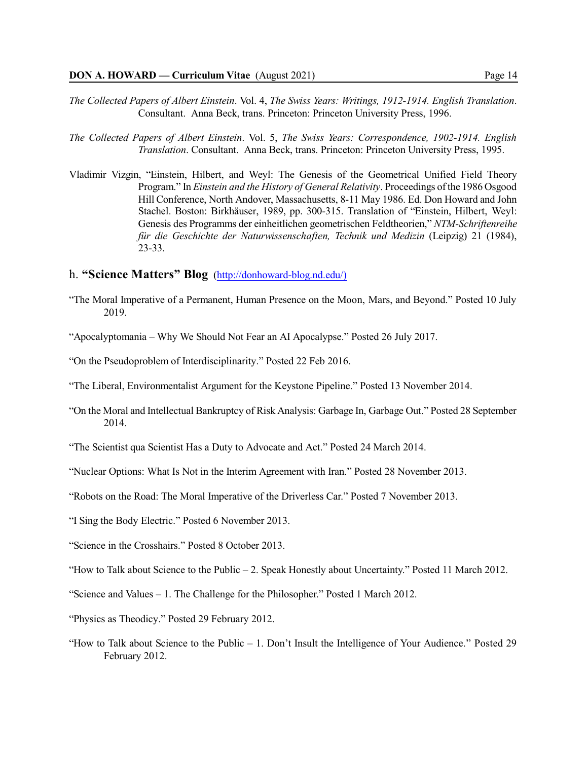- *The Collected Papers of Albert Einstein*. Vol. 4, *The Swiss Years: Writings, 1912-1914. English Translation*. Consultant. Anna Beck, trans. Princeton: Princeton University Press, 1996.
- *The Collected Papers of Albert Einstein*. Vol. 5, *The Swiss Years: Correspondence, 1902-1914. English Translation*. Consultant. Anna Beck, trans. Princeton: Princeton University Press, 1995.
- Vladimir Vizgin, "Einstein, Hilbert, and Weyl: The Genesis of the Geometrical Unified Field Theory Program." In *Einstein and the History of General Relativity*. Proceedings of the 1986 Osgood Hill Conference, North Andover, Massachusetts, 8-11 May 1986. Ed. Don Howard and John Stachel. Boston: Birkhäuser, 1989, pp. 300-315. Translation of "Einstein, Hilbert, Weyl: Genesis des Programms der einheitlichen geometrischen Feldtheorien," *NTM-Schriftenreihe für die Geschichte der Naturwissenschaften, Technik und Medizin* (Leipzig) 21 (1984), 23-33.

## h. **"Science Matters" Blog** [\(http://donhoward-blog.nd.edu/\)]((http://donhoward-blog.nd.edu/))

- "The Moral Imperative of a Permanent, Human Presence on the Moon, Mars, and Beyond." Posted 10 July 2019.
- "Apocalyptomania Why We Should Not Fear an AI Apocalypse." Posted 26 July 2017.
- "On the Pseudoproblem of Interdisciplinarity." Posted 22 Feb 2016.
- "The Liberal, Environmentalist Argument for the Keystone Pipeline." Posted 13 November 2014.
- "On the Moral and Intellectual Bankruptcy of Risk Analysis: Garbage In, Garbage Out." Posted 28 September 2014.
- "The Scientist qua Scientist Has a Duty to Advocate and Act." Posted 24 March 2014.
- "Nuclear Options: What Is Not in the Interim Agreement with Iran." Posted 28 November 2013.
- "Robots on the Road: The Moral Imperative of the Driverless Car." Posted 7 November 2013.
- "I Sing the Body Electric." Posted 6 November 2013.
- "Science in the Crosshairs." Posted 8 October 2013.
- "How to Talk about Science to the Public 2. Speak Honestly about Uncertainty." Posted 11 March 2012.
- "Science and Values 1. The Challenge for the Philosopher." Posted 1 March 2012.
- "Physics as Theodicy." Posted 29 February 2012.
- "How to Talk about Science to the Public  $-1$ . Don't Insult the Intelligence of Your Audience." Posted 29 February 2012.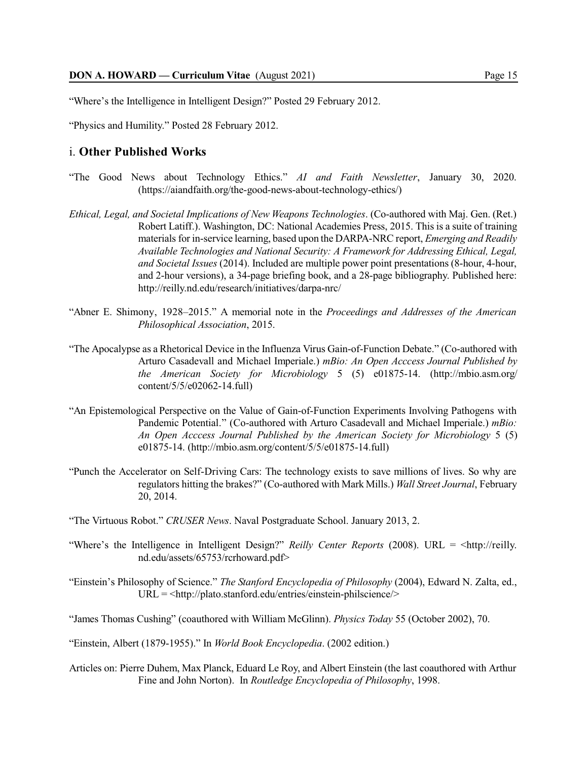"Where's the Intelligence in Intelligent Design?" Posted 29 February 2012.

"Physics and Humility." Posted 28 February 2012.

## i. **Other Published Works**

- "The Good News about Technology Ethics." *AI and Faith Newsletter*, January 30, 2020. (https://aiandfaith.org/the-good-news-about-technology-ethics/)
- *Ethical, Legal, and Societal Implications of New Weapons Technologies*. (Co-authored with Maj. Gen. (Ret.) Robert Latiff.). Washington, DC: National Academies Press, 2015. This is a suite of training materials for in-service learning, based upon the DARPA-NRC report, *Emerging and Readily Available Technologies and National Security: A Framework for Addressing Ethical, Legal, and Societal Issues* (2014). Included are multiple power point presentations (8-hour, 4-hour, and 2-hour versions), a 34-page briefing book, and a 28-page bibliography. Published here: http://reilly.nd.edu/research/initiatives/darpa-nrc/
- "Abner E. Shimony, 1928–2015." A memorial note in the *Proceedings and Addresses of the American Philosophical Association*, 2015.
- "The Apocalypse as a Rhetorical Device in the Influenza Virus Gain-of-Function Debate." (Co-authored with Arturo Casadevall and Michael Imperiale.) *mBio: An Open Acccess Journal Published by the American Society for Microbiology* 5 (5) e01875-14. (http://mbio.asm.org/ content/5/5/e02062-14.full)
- "An Epistemological Perspective on the Value of Gain-of-Function Experiments Involving Pathogens with Pandemic Potential." (Co-authored with Arturo Casadevall and Michael Imperiale.) *mBio: An Open Acccess Journal Published by the American Society for Microbiology* 5 (5) e01875-14. (http://mbio.asm.org/content/5/5/e01875-14.full)
- "Punch the Accelerator on Self-Driving Cars: The technology exists to save millions of lives. So why are regulators hitting the brakes?" (Co-authored with Mark Mills.) *Wall Street Journal*, February 20, 2014.

"The Virtuous Robot." *CRUSER News*. Naval Postgraduate School. January 2013, 2.

- "Where's the Intelligence in Intelligent Design?" *Reilly Center Reports* (2008). URL = <http://reilly. nd.edu/assets/65753/rcrhoward.pdf>
- "Einstein's Philosophy of Science." *The Stanford Encyclopedia of Philosophy* (2004), Edward N. Zalta, ed., URL = <http://plato.stanford.edu/entries/einstein-philscience/>

"James Thomas Cushing" (coauthored with William McGlinn). *Physics Today* 55 (October 2002), 70.

"Einstein, Albert (1879-1955)." In *World Book Encyclopedia*. (2002 edition.)

Articles on: Pierre Duhem, Max Planck, Eduard Le Roy, and Albert Einstein (the last coauthored with Arthur Fine and John Norton). In *Routledge Encyclopedia of Philosophy*, 1998.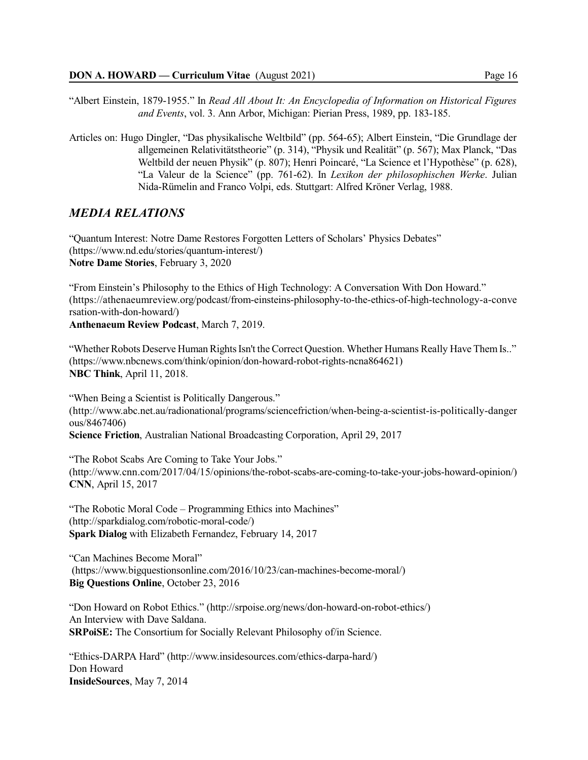"Albert Einstein, 1879-1955." In *Read All About It: An Encyclopedia of Information on Historical Figures and Events*, vol. 3. Ann Arbor, Michigan: Pierian Press, 1989, pp. 183-185.

Articles on: Hugo Dingler, "Das physikalische Weltbild" (pp. 564-65); Albert Einstein, "Die Grundlage der allgemeinen Relativitätstheorie" (p. 314), "Physik und Realität" (p. 567); Max Planck, "Das Weltbild der neuen Physik" (p. 807); Henri Poincaré, "La Science et l'Hypothèse" (p. 628), "La Valeur de la Science" (pp. 761-62). In *Lexikon der philosophischen Werke*. Julian Nida-Rümelin and Franco Volpi, eds. Stuttgart: Alfred Kröner Verlag, 1988.

# *MEDIA RELATIONS*

"Quantum Interest: Notre Dame Restores Forgotten Letters of Scholars' Physics Debates" (https://www.nd.edu/stories/quantum-interest/) **Notre Dame Stories**, February 3, 2020

"From Einstein's Philosophy to the Ethics of High Technology: A Conversation With Don Howard." (https://athenaeumreview.org/podcast/from-einsteins-philosophy-to-the-ethics-of-high-technology-a-conve rsation-with-don-howard/)

**Anthenaeum Review Podcast**, March 7, 2019.

"Whether Robots Deserve Human Rights Isn't the Correct Question. Whether Humans Really Have Them Is.." (https://www.nbcnews.com/think/opinion/don-howard-robot-rights-ncna864621) **NBC Think**, April 11, 2018.

"When Being a Scientist is Politically Dangerous." (http://www.abc.net.au/radionational/programs/sciencefriction/when-being-a-scientist-is-politically-danger ous/8467406) **Science Friction**, Australian National Broadcasting Corporation, April 29, 2017

"The Robot Scabs Are Coming to Take Your Jobs." (http://www.cnn.com/2017/04/15/opinions/the-robot-scabs-are-coming-to-take-your-jobs-howard-opinion/) **CNN**, April 15, 2017

"The Robotic Moral Code – Programming Ethics into Machines" (http://sparkdialog.com/robotic-moral-code/) **Spark Dialog** with Elizabeth Fernandez, February 14, 2017

"Can Machines Become Moral" (https://www.bigquestionsonline.com/2016/10/23/can-machines-become-moral/) **Big Questions Online**, October 23, 2016

"Don Howard on Robot Ethics." (http://srpoise.org/news/don-howard-on-robot-ethics/) An Interview with Dave Saldana. **SRPoiSE:** The Consortium for Socially Relevant Philosophy of/in Science.

"Ethics-DARPA Hard" (http://www.insidesources.com/ethics-darpa-hard/) Don Howard **InsideSources**, May 7, 2014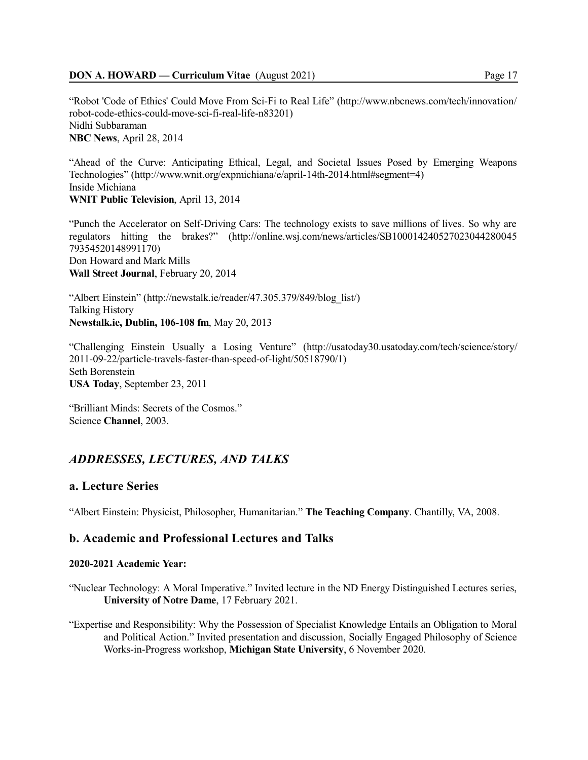"Robot 'Code of Ethics' Could Move From Sci-Fi to Real Life" (http://www.nbcnews.com/tech/innovation/ robot-code-ethics-could-move-sci-fi-real-life-n83201) Nidhi Subbaraman **NBC News**, April 28, 2014

"Ahead of the Curve: Anticipating Ethical, Legal, and Societal Issues Posed by Emerging Weapons Technologies" (http://www.wnit.org/expmichiana/e/april-14th-2014.html#segment=4) Inside Michiana **WNIT Public Television**, April 13, 2014

"Punch the Accelerator on Self-Driving Cars: The technology exists to save millions of lives. So why are regulators hitting the brakes?" (http://online.wsj.com/news/articles/SB100014240527023044280045 79354520148991170) Don Howard and Mark Mills **Wall Street Journal**, February 20, 2014

"Albert Einstein" (http://newstalk.ie/reader/47.305.379/849/blog\_list/) Talking History **Newstalk.ie, Dublin, 106-108 fm**, May 20, 2013

"Challenging Einstein Usually a Losing Venture" (http://usatoday30.usatoday.com/tech/science/story/ 2011-09-22/particle-travels-faster-than-speed-of-light/50518790/1) Seth Borenstein **USA Today**, September 23, 2011

"Brilliant Minds: Secrets of the Cosmos." Science **Channel**, 2003.

# *ADDRESSES, LECTURES, AND TALKS*

# **a. Lecture Series**

"Albert Einstein: Physicist, Philosopher, Humanitarian." **The Teaching Company**. Chantilly, VA, 2008.

# **b. Academic and Professional Lectures and Talks**

## **2020-2021 Academic Year:**

- "Nuclear Technology: A Moral Imperative." Invited lecture in the ND Energy Distinguished Lectures series, **University of Notre Dame**, 17 February 2021.
- "Expertise and Responsibility: Why the Possession of Specialist Knowledge Entails an Obligation to Moral and Political Action." Invited presentation and discussion, Socially Engaged Philosophy of Science Works-in-Progress workshop, **Michigan State University**, 6 November 2020.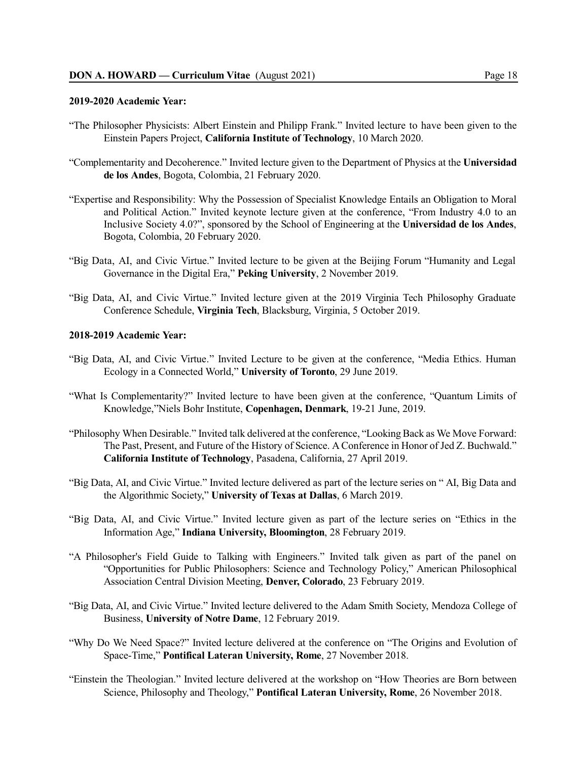#### **2019-2020 Academic Year:**

- "The Philosopher Physicists: Albert Einstein and Philipp Frank." Invited lecture to have been given to the Einstein Papers Project, **California Institute of Technology**, 10 March 2020.
- "Complementarity and Decoherence." Invited lecture given to the Department of Physics at the **Universidad de los Andes**, Bogota, Colombia, 21 February 2020.
- "Expertise and Responsibility: Why the Possession of Specialist Knowledge Entails an Obligation to Moral and Political Action." Invited keynote lecture given at the conference, "From Industry 4.0 to an Inclusive Society 4.0?", sponsored by the School of Engineering at the **Universidad de los Andes**, Bogota, Colombia, 20 February 2020.
- "Big Data, AI, and Civic Virtue." Invited lecture to be given at the Beijing Forum "Humanity and Legal Governance in the Digital Era," **Peking University**, 2 November 2019.
- "Big Data, AI, and Civic Virtue." Invited lecture given at the 2019 Virginia Tech Philosophy Graduate Conference Schedule, **Virginia Tech**, Blacksburg, Virginia, 5 October 2019.

## **2018-2019 Academic Year:**

- "Big Data, AI, and Civic Virtue." Invited Lecture to be given at the conference, "Media Ethics. Human Ecology in a Connected World," **University of Toronto**, 29 June 2019.
- "What Is Complementarity?" Invited lecture to have been given at the conference, "Quantum Limits of Knowledge,"Niels Bohr Institute, **Copenhagen, Denmark**, 19-21 June, 2019.
- "Philosophy When Desirable." Invited talk delivered at the conference, "Looking Back as We Move Forward: The Past, Present, and Future of the History of Science. A Conference in Honor of Jed Z. Buchwald." **California Institute of Technology**, Pasadena, California, 27 April 2019.
- "Big Data, AI, and Civic Virtue." Invited lecture delivered as part of the lecture series on " AI, Big Data and the Algorithmic Society," **University of Texas at Dallas**, 6 March 2019.
- "Big Data, AI, and Civic Virtue." Invited lecture given as part of the lecture series on "Ethics in the Information Age," **Indiana University, Bloomington**, 28 February 2019.
- "A Philosopher's Field Guide to Talking with Engineers." Invited talk given as part of the panel on "Opportunities for Public Philosophers: Science and Technology Policy," American Philosophical Association Central Division Meeting, **Denver, Colorado**, 23 February 2019.
- "Big Data, AI, and Civic Virtue." Invited lecture delivered to the Adam Smith Society, Mendoza College of Business, **University of Notre Dame**, 12 February 2019.
- "Why Do We Need Space?" Invited lecture delivered at the conference on "The Origins and Evolution of Space-Time," **Pontifical Lateran University, Rome**, 27 November 2018.
- "Einstein the Theologian." Invited lecture delivered at the workshop on "How Theories are Born between Science, Philosophy and Theology," **Pontifical Lateran University, Rome**, 26 November 2018.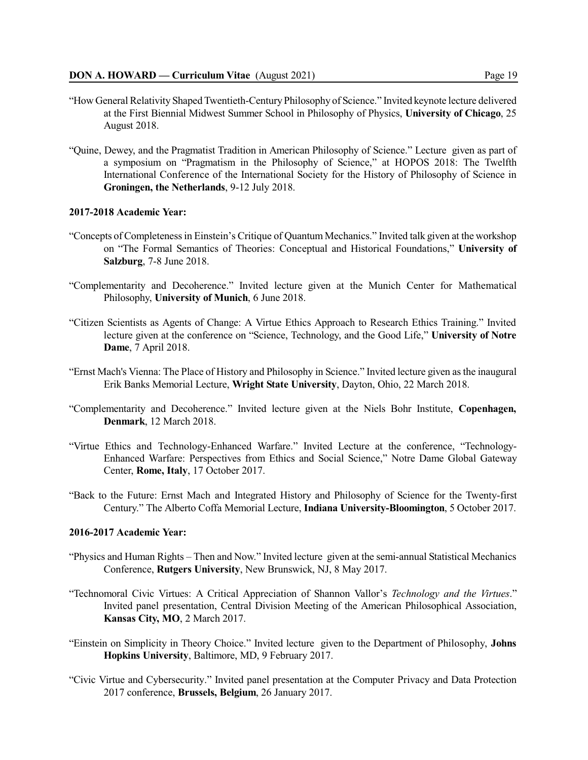- "How General Relativity ShapedTwentieth-Century Philosophy of Science." Invited keynote lecture delivered at the First Biennial Midwest Summer School in Philosophy of Physics, **University of Chicago**, 25 August 2018.
- "Quine, Dewey, and the Pragmatist Tradition in American Philosophy of Science." Lecture given as part of a symposium on "Pragmatism in the Philosophy of Science," at HOPOS 2018: The Twelfth International Conference of the International Society for the History of Philosophy of Science in **Groningen, the Netherlands**, 9-12 July 2018.

#### **2017-2018 Academic Year:**

- "Concepts of Completenessin Einstein's Critique of Quantum Mechanics." Invited talk given at the workshop on "The Formal Semantics of Theories: Conceptual and Historical Foundations," **University of Salzburg**, 7-8 June 2018.
- "Complementarity and Decoherence." Invited lecture given at the Munich Center for Mathematical Philosophy, **University of Munich**, 6 June 2018.
- "Citizen Scientists as Agents of Change: A Virtue Ethics Approach to Research Ethics Training." Invited lecture given at the conference on "Science, Technology, and the Good Life," **University of Notre Dame**, 7 April 2018.
- "Ernst Mach's Vienna: The Place of History and Philosophy in Science." Invited lecture given asthe inaugural Erik Banks Memorial Lecture, **Wright State University**, Dayton, Ohio, 22 March 2018.
- "Complementarity and Decoherence." Invited lecture given at the Niels Bohr Institute, **Copenhagen, Denmark**, 12 March 2018.
- "Virtue Ethics and Technology-Enhanced Warfare." Invited Lecture at the conference, "Technology-Enhanced Warfare: Perspectives from Ethics and Social Science," Notre Dame Global Gateway Center, **Rome, Italy**, 17 October 2017.
- "Back to the Future: Ernst Mach and Integrated History and Philosophy of Science for the Twenty-first Century." The Alberto Coffa Memorial Lecture, **Indiana University-Bloomington**, 5 October 2017.

## **2016-2017 Academic Year:**

- "Physics and Human Rights Then and Now." Invited lecture given at the semi-annual Statistical Mechanics Conference, **Rutgers University**, New Brunswick, NJ, 8 May 2017.
- "Technomoral Civic Virtues: A Critical Appreciation of Shannon Vallor's *Technology and the Virtues*." Invited panel presentation, Central Division Meeting of the American Philosophical Association, **Kansas City, MO**, 2 March 2017.
- "Einstein on Simplicity in Theory Choice." Invited lecture given to the Department of Philosophy, **Johns Hopkins University**, Baltimore, MD, 9 February 2017.
- "Civic Virtue and Cybersecurity." Invited panel presentation at the Computer Privacy and Data Protection 2017 conference, **Brussels, Belgium**, 26 January 2017.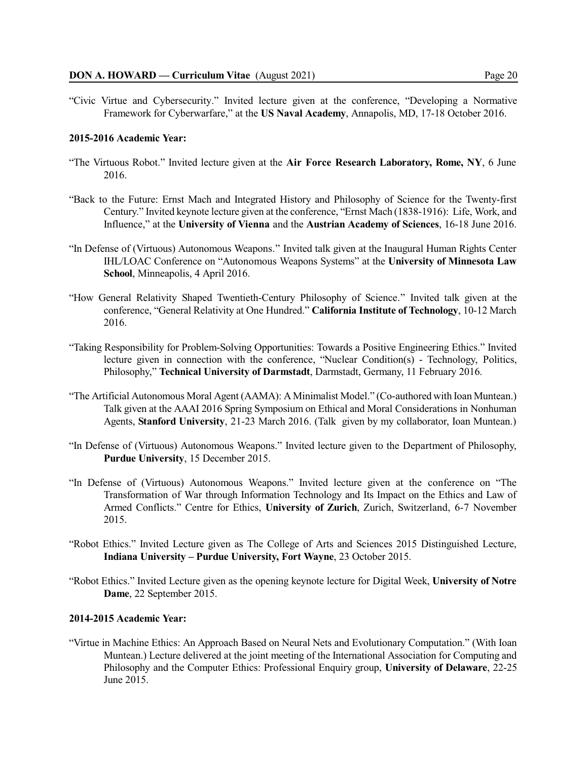"Civic Virtue and Cybersecurity." Invited lecture given at the conference, "Developing a Normative Framework for Cyberwarfare," at the **US Naval Academy**, Annapolis, MD, 17-18 October 2016.

### **2015-2016 Academic Year:**

- "The Virtuous Robot." Invited lecture given at the **Air Force Research Laboratory, Rome, NY**, 6 June 2016.
- "Back to the Future: Ernst Mach and Integrated History and Philosophy of Science for the Twenty-first Century." Invited keynote lecture given at the conference, "Ernst Mach (1838-1916): Life, Work, and Influence," at the **University of Vienna** and the **Austrian Academy of Sciences**, 16-18 June 2016.
- "In Defense of (Virtuous) Autonomous Weapons." Invited talk given at the Inaugural Human Rights Center IHL/LOAC Conference on "Autonomous Weapons Systems" at the **University of Minnesota Law School**, Minneapolis, 4 April 2016.
- "How General Relativity Shaped Twentieth-Century Philosophy of Science." Invited talk given at the conference, "General Relativity at One Hundred." **California Institute of Technology**, 10-12 March 2016.
- "Taking Responsibility for Problem-Solving Opportunities: Towards a Positive Engineering Ethics." Invited lecture given in connection with the conference, "Nuclear Condition(s) - Technology, Politics, Philosophy," **Technical University of Darmstadt**, Darmstadt, Germany, 11 February 2016.
- "The Artificial Autonomous Moral Agent (AAMA): A Minimalist Model." (Co-authored with Ioan Muntean.) Talk given at the AAAI 2016 Spring Symposium on Ethical and Moral Considerations in Nonhuman Agents, **Stanford University**, 21-23 March 2016. (Talk given by my collaborator, Ioan Muntean.)
- "In Defense of (Virtuous) Autonomous Weapons." Invited lecture given to the Department of Philosophy, **Purdue University**, 15 December 2015.
- "In Defense of (Virtuous) Autonomous Weapons." Invited lecture given at the conference on "The Transformation of War through Information Technology and Its Impact on the Ethics and Law of Armed Conflicts." Centre for Ethics, **University of Zurich**, Zurich, Switzerland, 6-7 November 2015.
- "Robot Ethics." Invited Lecture given as The College of Arts and Sciences 2015 Distinguished Lecture, **Indiana University – Purdue University, Fort Wayne**, 23 October 2015.
- "Robot Ethics." Invited Lecture given as the opening keynote lecture for Digital Week, **University of Notre Dame**, 22 September 2015.

#### **2014-2015 Academic Year:**

"Virtue in Machine Ethics: An Approach Based on Neural Nets and Evolutionary Computation." (With Ioan Muntean.) Lecture delivered at the joint meeting of the International Association for Computing and Philosophy and the Computer Ethics: Professional Enquiry group, **University of Delaware**, 22-25 June 2015.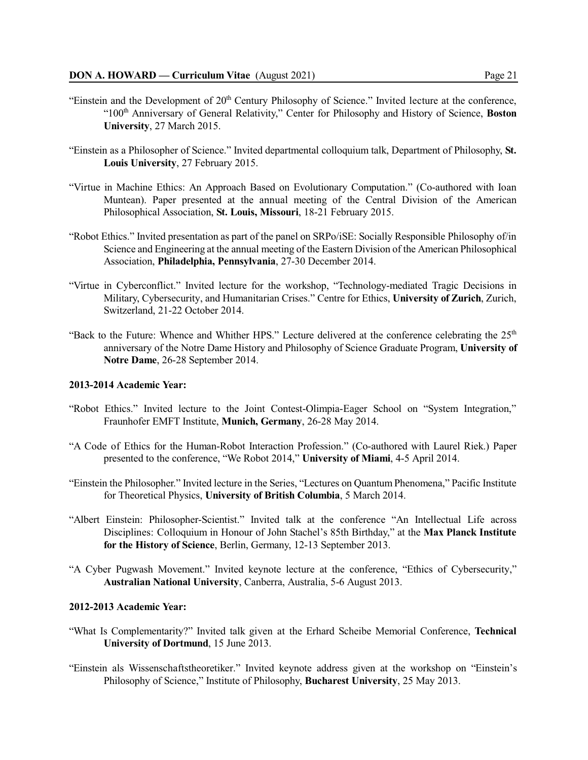- "Einstein and the Development of 20<sup>th</sup> Century Philosophy of Science." Invited lecture at the conference, "100 th Anniversary of General Relativity," Center for Philosophy and History of Science, **Boston University**, 27 March 2015.
- "Einstein as a Philosopher of Science." Invited departmental colloquium talk, Department of Philosophy, **St. Louis University**, 27 February 2015.
- "Virtue in Machine Ethics: An Approach Based on Evolutionary Computation." (Co-authored with Ioan Muntean). Paper presented at the annual meeting of the Central Division of the American Philosophical Association, **St. Louis, Missouri**, 18-21 February 2015.
- "Robot Ethics." Invited presentation as part of the panel on SRPo/iSE: Socially Responsible Philosophy of/in Science and Engineering at the annual meeting of the Eastern Division of the American Philosophical Association, **Philadelphia, Pennsylvania**, 27-30 December 2014.
- "Virtue in Cyberconflict." Invited lecture for the workshop, "Technology-mediated Tragic Decisions in Military, Cybersecurity, and Humanitarian Crises." Centre for Ethics, **University of Zurich**, Zurich, Switzerland, 21-22 October 2014.
- "Back to the Future: Whence and Whither HPS." Lecture delivered at the conference celebrating the 25<sup>th</sup> anniversary of the Notre Dame History and Philosophy of Science Graduate Program, **University of Notre Dame**, 26-28 September 2014.

## **2013-2014 Academic Year:**

- "Robot Ethics." Invited lecture to the Joint Contest-Olimpia-Eager School on "System Integration," Fraunhofer EMFT Institute, **Munich, Germany**, 26-28 May 2014.
- "A Code of Ethics for the Human-Robot Interaction Profession." (Co-authored with Laurel Riek.) Paper presented to the conference, "We Robot 2014," **University of Miami**, 4-5 April 2014.
- "Einstein the Philosopher." Invited lecture in the Series, "Lectures on Quantum Phenomena," Pacific Institute for Theoretical Physics, **University of British Columbia**, 5 March 2014.
- "Albert Einstein: Philosopher-Scientist." Invited talk at the conference "An Intellectual Life across Disciplines: Colloquium in Honour of John Stachel's 85th Birthday," at the **Max Planck Institute for the History of Science**, Berlin, Germany, 12-13 September 2013.
- "A Cyber Pugwash Movement." Invited keynote lecture at the conference, "Ethics of Cybersecurity," **Australian National University**, Canberra, Australia, 5-6 August 2013.

## **2012-2013 Academic Year:**

- "What Is Complementarity?" Invited talk given at the Erhard Scheibe Memorial Conference, **Technical University of Dortmund**, 15 June 2013.
- "Einstein als Wissenschaftstheoretiker." Invited keynote address given at the workshop on "Einstein's Philosophy of Science," Institute of Philosophy, **Bucharest University**, 25 May 2013.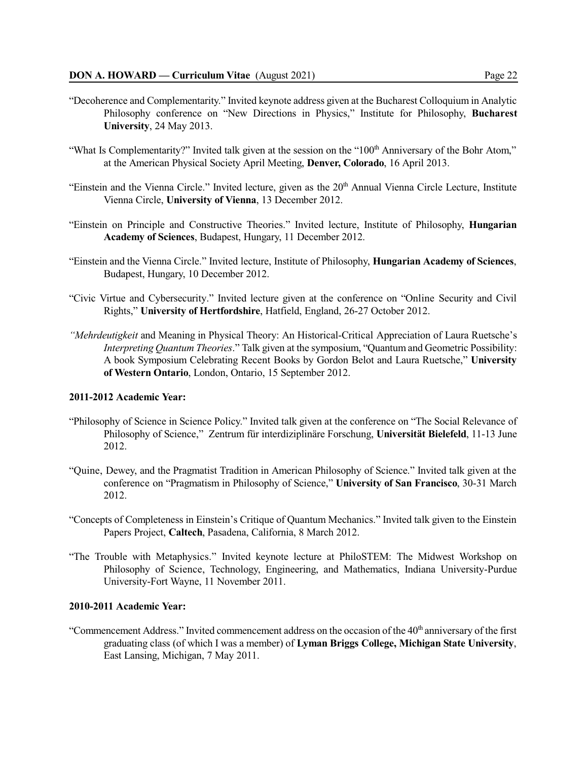- "Decoherence and Complementarity." Invited keynote address given at the Bucharest Colloquium in Analytic Philosophy conference on "New Directions in Physics," Institute for Philosophy, **Bucharest University**, 24 May 2013.
- "What Is Complementarity?" Invited talk given at the session on the "100<sup>th</sup> Anniversary of the Bohr Atom," at the American Physical Society April Meeting, **Denver, Colorado**, 16 April 2013.
- "Einstein and the Vienna Circle." Invited lecture, given as the 20<sup>th</sup> Annual Vienna Circle Lecture, Institute Vienna Circle, **University of Vienna**, 13 December 2012.
- "Einstein on Principle and Constructive Theories." Invited lecture, Institute of Philosophy, **Hungarian Academy of Sciences**, Budapest, Hungary, 11 December 2012.
- "Einstein and the Vienna Circle." Invited lecture, Institute of Philosophy, **Hungarian Academy of Sciences**, Budapest, Hungary, 10 December 2012.
- "Civic Virtue and Cybersecurity." Invited lecture given at the conference on "Online Security and Civil Rights," **University of Hertfordshire**, Hatfield, England, 26-27 October 2012.
- *"Mehrdeutigkeit* and Meaning in Physical Theory: An Historical-Critical Appreciation of Laura Ruetsche's *Interpreting Quantum Theories*." Talk given at the symposium, "Quantum and Geometric Possibility: A book Symposium Celebrating Recent Books by Gordon Belot and Laura Ruetsche," **University of Western Ontario**, London, Ontario, 15 September 2012.

### **2011-2012 Academic Year:**

- "Philosophy of Science in Science Policy." Invited talk given at the conference on "The Social Relevance of Philosophy of Science," Zentrum für interdiziplinäre Forschung, **Universität Bielefeld**, 11-13 June 2012.
- "Quine, Dewey, and the Pragmatist Tradition in American Philosophy of Science." Invited talk given at the conference on "Pragmatism in Philosophy of Science," **University of San Francisco**, 30-31 March 2012.
- "Concepts of Completeness in Einstein's Critique of Quantum Mechanics." Invited talk given to the Einstein Papers Project, **Caltech**, Pasadena, California, 8 March 2012.
- "The Trouble with Metaphysics." Invited keynote lecture at PhiloSTEM: The Midwest Workshop on Philosophy of Science, Technology, Engineering, and Mathematics, Indiana University-Purdue University-Fort Wayne, 11 November 2011.

#### **2010-2011 Academic Year:**

"Commencement Address." Invited commencement address on the occasion of the 40<sup>th</sup> anniversary of the first graduating class (of which I was a member) of **Lyman Briggs College, Michigan State University**, East Lansing, Michigan, 7 May 2011.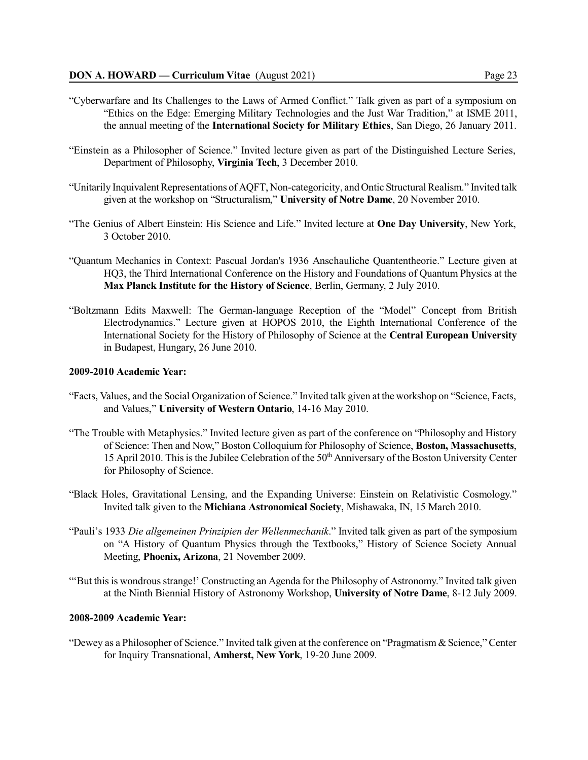- "Cyberwarfare and Its Challenges to the Laws of Armed Conflict." Talk given as part of a symposium on "Ethics on the Edge: Emerging Military Technologies and the Just War Tradition," at ISME 2011, the annual meeting of the **International Society for Military Ethics**, San Diego, 26 January 2011.
- "Einstein as a Philosopher of Science." Invited lecture given as part of the Distinguished Lecture Series, Department of Philosophy, **Virginia Tech**, 3 December 2010.
- "Unitarily InquivalentRepresentations of AQFT, Non-categoricity, and Ontic StructuralRealism." Invited talk given at the workshop on "Structuralism," **University of Notre Dame**, 20 November 2010.
- "The Genius of Albert Einstein: His Science and Life." Invited lecture at **One Day University**, New York, 3 October 2010.
- "Quantum Mechanics in Context: Pascual Jordan's 1936 Anschauliche Quantentheorie." Lecture given at HQ3, the Third International Conference on the History and Foundations of Quantum Physics at the **Max Planck Institute for the History of Science**, Berlin, Germany, 2 July 2010.
- "Boltzmann Edits Maxwell: The German-language Reception of the "Model" Concept from British Electrodynamics." Lecture given at HOPOS 2010, the Eighth International Conference of the International Society for the History of Philosophy of Science at the **Central European University** in Budapest, Hungary, 26 June 2010.

#### **2009-2010 Academic Year:**

- "Facts, Values, and the Social Organization of Science." Invited talk given at the workshop on "Science, Facts, and Values," **University of Western Ontario**, 14-16 May 2010.
- "The Trouble with Metaphysics." Invited lecture given as part of the conference on "Philosophy and History of Science: Then and Now," Boston Colloquium for Philosophy of Science, **Boston, Massachusetts**, 15 April 2010. This is the Jubilee Celebration of the 50<sup>th</sup> Anniversary of the Boston University Center for Philosophy of Science.
- "Black Holes, Gravitational Lensing, and the Expanding Universe: Einstein on Relativistic Cosmology." Invited talk given to the **Michiana Astronomical Society**, Mishawaka, IN, 15 March 2010.
- "Pauli's 1933 *Die allgemeinen Prinzipien der Wellenmechanik*." Invited talk given as part of the symposium on "A History of Quantum Physics through the Textbooks," History of Science Society Annual Meeting, **Phoenix, Arizona**, 21 November 2009.
- ""But this is wondrous strange!' Constructing an Agenda for the Philosophy of Astronomy." Invited talk given at the Ninth Biennial History of Astronomy Workshop, **University of Notre Dame**, 8-12 July 2009.

### **2008-2009 Academic Year:**

"Dewey as a Philosopher of Science." Invited talk given at the conference on "Pragmatism & Science," Center for Inquiry Transnational, **Amherst, New York**, 19-20 June 2009.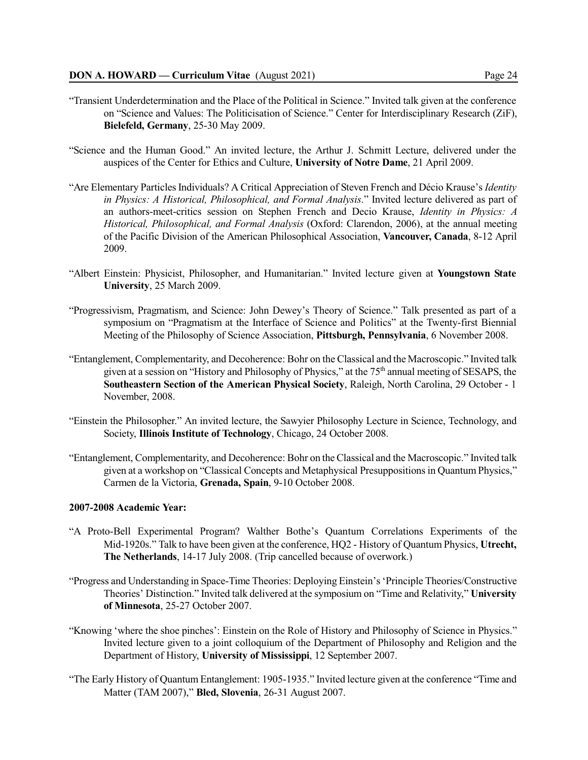- "Transient Underdetermination and the Place of the Political in Science." Invited talk given at the conference on "Science and Values: The Politicisation of Science." Center for Interdisciplinary Research (ZiF), **Bielefeld, Germany**, 25-30 May 2009.
- "Science and the Human Good." An invited lecture, the Arthur J. Schmitt Lecture, delivered under the auspices of the Center for Ethics and Culture, **University of Notre Dame**, 21 April 2009.
- "Are Elementary ParticlesIndividuals? A Critical Appreciation of Steven French and Décio Krause's *Identity in Physics: A Historical, Philosophical, and Formal Analysis*." Invited lecture delivered as part of an authors-meet-critics session on Stephen French and Decio Krause, *Identity in Physics: A Historical, Philosophical, and Formal Analysis* (Oxford: Clarendon, 2006), at the annual meeting of the Pacific Division of the American Philosophical Association, **Vancouver, Canada**, 8-12 April 2009.
- "Albert Einstein: Physicist, Philosopher, and Humanitarian." Invited lecture given at **Youngstown State University**, 25 March 2009.
- "Progressivism, Pragmatism, and Science: John Dewey's Theory of Science." Talk presented as part of a symposium on "Pragmatism at the Interface of Science and Politics" at the Twenty-first Biennial Meeting of the Philosophy of Science Association, **Pittsburgh, Pennsylvania**, 6 November 2008.
- "Entanglement, Complementarity, and Decoherence: Bohr on the Classical and the Macroscopic." Invited talk given at a session on "History and Philosophy of Physics," at the 75<sup>th</sup> annual meeting of SESAPS, the **Southeastern Section of the American Physical Society**, Raleigh, North Carolina, 29 October - 1 November, 2008.
- "Einstein the Philosopher." An invited lecture, the Sawyier Philosophy Lecture in Science, Technology, and Society, **Illinois Institute of Technology**, Chicago, 24 October 2008.
- "Entanglement, Complementarity, and Decoherence: Bohr on the Classical and the Macroscopic." Invited talk given at a workshop on "Classical Concepts and Metaphysical Presuppositionsin Quantum Physics," Carmen de la Victoria, **Grenada, Spain**, 9-10 October 2008.

### **2007-2008 Academic Year:**

- "A Proto-Bell Experimental Program? Walther Bothe's Quantum Correlations Experiments of the Mid-1920s." Talk to have been given at the conference, HQ2 - History of Quantum Physics, **Utrecht, The Netherlands**, 14-17 July 2008. (Trip cancelled because of overwork.)
- "Progress and Understanding in Space-Time Theories: Deploying Einstein's'Principle Theories/Constructive Theories' Distinction." Invited talk delivered at the symposium on "Time and Relativity," **University of Minnesota**, 25-27 October 2007.
- "Knowing 'where the shoe pinches': Einstein on the Role of History and Philosophy of Science in Physics." Invited lecture given to a joint colloquium of the Department of Philosophy and Religion and the Department of History, **University of Mississippi**, 12 September 2007.
- "The Early History of Quantum Entanglement: 1905-1935." Invited lecture given at the conference "Time and Matter (TAM 2007)," **Bled, Slovenia**, 26-31 August 2007.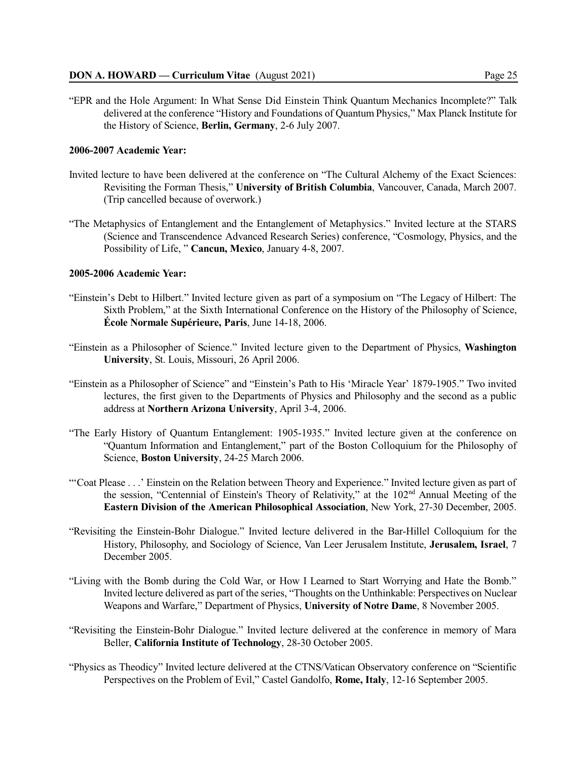"EPR and the Hole Argument: In What Sense Did Einstein Think Quantum Mechanics Incomplete?" Talk delivered at the conference "History and Foundations of Quantum Physics," Max Planck Institute for the History of Science, **Berlin, Germany**, 2-6 July 2007.

## **2006-2007 Academic Year:**

- Invited lecture to have been delivered at the conference on "The Cultural Alchemy of the Exact Sciences: Revisiting the Forman Thesis," **University of British Columbia**, Vancouver, Canada, March 2007. (Trip cancelled because of overwork.)
- "The Metaphysics of Entanglement and the Entanglement of Metaphysics." Invited lecture at the STARS (Science and Transcendence Advanced Research Series) conference, "Cosmology, Physics, and the Possibility of Life, " **Cancun, Mexico**, January 4-8, 2007.

#### **2005-2006 Academic Year:**

- "Einstein's Debt to Hilbert." Invited lecture given as part of a symposium on "The Legacy of Hilbert: The Sixth Problem," at the Sixth International Conference on the History of the Philosophy of Science, **École Normale Supérieure, Paris**, June 14-18, 2006.
- "Einstein as a Philosopher of Science." Invited lecture given to the Department of Physics, **Washington University**, St. Louis, Missouri, 26 April 2006.
- "Einstein as a Philosopher of Science" and "Einstein's Path to His 'Miracle Year' 1879-1905." Two invited lectures, the first given to the Departments of Physics and Philosophy and the second as a public address at **Northern Arizona University**, April 3-4, 2006.
- "The Early History of Quantum Entanglement: 1905-1935." Invited lecture given at the conference on "Quantum Information and Entanglement," part of the Boston Colloquium for the Philosophy of Science, **Boston University**, 24-25 March 2006.
- "'Coat Please . . .' Einstein on the Relation between Theory and Experience." Invited lecture given as part of the session, "Centennial of Einstein's Theory of Relativity," at the 102<sup>nd</sup> Annual Meeting of the **Eastern Division of the American Philosophical Association**, New York, 27-30 December, 2005.
- "Revisiting the Einstein-Bohr Dialogue." Invited lecture delivered in the Bar-Hillel Colloquium for the History, Philosophy, and Sociology of Science, Van Leer Jerusalem Institute, **Jerusalem, Israel**, 7 December 2005.
- "Living with the Bomb during the Cold War, or How I Learned to Start Worrying and Hate the Bomb." Invited lecture delivered as part of the series, "Thoughts on the Unthinkable: Perspectives on Nuclear Weapons and Warfare," Department of Physics, **University of Notre Dame**, 8 November 2005.
- "Revisiting the Einstein-Bohr Dialogue." Invited lecture delivered at the conference in memory of Mara Beller, **California Institute of Technology**, 28-30 October 2005.
- "Physics as Theodicy" Invited lecture delivered at the CTNS/Vatican Observatory conference on "Scientific Perspectives on the Problem of Evil," Castel Gandolfo, **Rome, Italy**, 12-16 September 2005.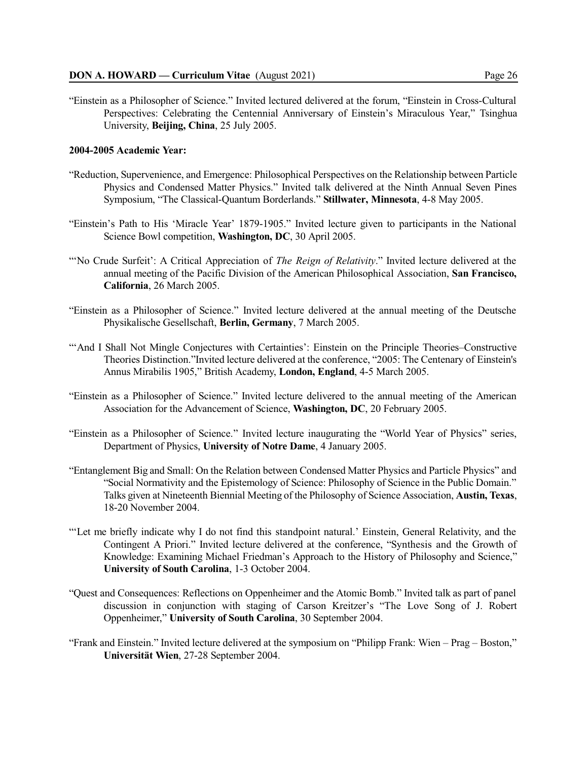"Einstein as a Philosopher of Science." Invited lectured delivered at the forum, "Einstein in Cross-Cultural Perspectives: Celebrating the Centennial Anniversary of Einstein's Miraculous Year," Tsinghua University, **Beijing, China**, 25 July 2005.

#### **2004-2005 Academic Year:**

- "Reduction, Supervenience, and Emergence: Philosophical Perspectives on the Relationship between Particle Physics and Condensed Matter Physics." Invited talk delivered at the Ninth Annual Seven Pines Symposium, "The Classical-Quantum Borderlands." **Stillwater, Minnesota**, 4-8 May 2005.
- "Einstein's Path to His 'Miracle Year' 1879-1905." Invited lecture given to participants in the National Science Bowl competition, **Washington, DC**, 30 April 2005.
- "'No Crude Surfeit': A Critical Appreciation of *The Reign of Relativity*." Invited lecture delivered at the annual meeting of the Pacific Division of the American Philosophical Association, **San Francisco, California**, 26 March 2005.
- "Einstein as a Philosopher of Science." Invited lecture delivered at the annual meeting of the Deutsche Physikalische Gesellschaft, **Berlin, Germany**, 7 March 2005.
- "'And I Shall Not Mingle Conjectures with Certainties': Einstein on the Principle Theories–Constructive Theories Distinction."Invited lecture delivered at the conference, "2005: The Centenary of Einstein's Annus Mirabilis 1905," British Academy, **London, England**, 4-5 March 2005.
- "Einstein as a Philosopher of Science." Invited lecture delivered to the annual meeting of the American Association for the Advancement of Science, **Washington, DC**, 20 February 2005.
- "Einstein as a Philosopher of Science." Invited lecture inaugurating the "World Year of Physics" series, Department of Physics, **University of Notre Dame**, 4 January 2005.
- "Entanglement Big and Small: On the Relation between Condensed Matter Physics and Particle Physics" and "Social Normativity and the Epistemology of Science: Philosophy of Science in the Public Domain." Talks given at Nineteenth Biennial Meeting of the Philosophy of Science Association, **Austin, Texas**, 18-20 November 2004.
- "'Let me briefly indicate why I do not find this standpoint natural.' Einstein, General Relativity, and the Contingent A Priori." Invited lecture delivered at the conference, "Synthesis and the Growth of Knowledge: Examining Michael Friedman's Approach to the History of Philosophy and Science," **University of South Carolina**, 1-3 October 2004.
- "Quest and Consequences: Reflections on Oppenheimer and the Atomic Bomb." Invited talk as part of panel discussion in conjunction with staging of Carson Kreitzer's "The Love Song of J. Robert Oppenheimer," **University of South Carolina**, 30 September 2004.
- "Frank and Einstein." Invited lecture delivered at the symposium on "Philipp Frank: Wien Prag Boston," **Universität Wien**, 27-28 September 2004.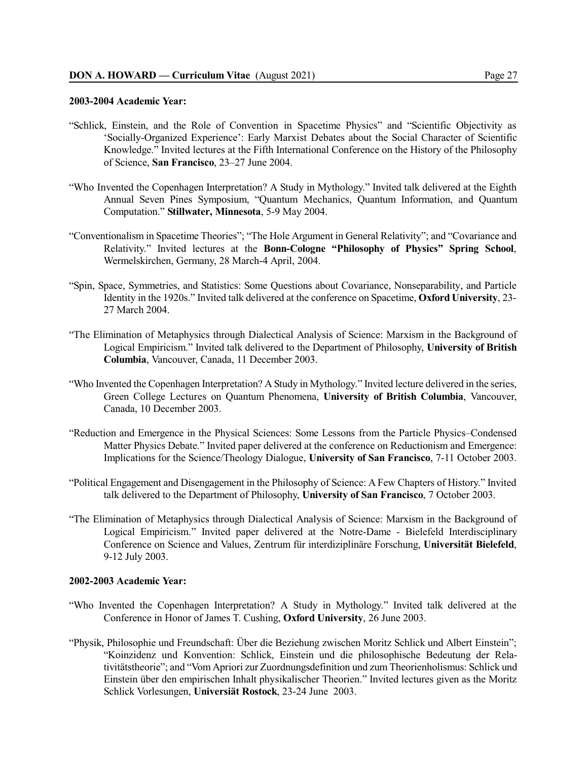### **2003-2004 Academic Year:**

- "Schlick, Einstein, and the Role of Convention in Spacetime Physics" and "Scientific Objectivity as 'Socially-Organized Experience': Early Marxist Debates about the Social Character of Scientific Knowledge." Invited lectures at the Fifth International Conference on the History of the Philosophy of Science, **San Francisco**, 23–27 June 2004.
- "Who Invented the Copenhagen Interpretation? A Study in Mythology." Invited talk delivered at the Eighth Annual Seven Pines Symposium, "Quantum Mechanics, Quantum Information, and Quantum Computation." **Stillwater, Minnesota**, 5-9 May 2004.
- "Conventionalism in Spacetime Theories"; "The Hole Argument in General Relativity"; and "Covariance and Relativity." Invited lectures at the **Bonn-Cologne "Philosophy of Physics" Spring School**, Wermelskirchen, Germany, 28 March-4 April, 2004.
- "Spin, Space, Symmetries, and Statistics: Some Questions about Covariance, Nonseparability, and Particle Identity in the 1920s." Invited talk delivered at the conference on Spacetime, **Oxford University**, 23- 27 March 2004.
- "The Elimination of Metaphysics through Dialectical Analysis of Science: Marxism in the Background of Logical Empiricism." Invited talk delivered to the Department of Philosophy, **University of British Columbia**, Vancouver, Canada, 11 December 2003.
- "Who Invented the Copenhagen Interpretation? A Study in Mythology." Invited lecture delivered in the series, Green College Lectures on Quantum Phenomena, **University of British Columbia**, Vancouver, Canada, 10 December 2003.
- "Reduction and Emergence in the Physical Sciences: Some Lessons from the Particle Physics–Condensed Matter Physics Debate." Invited paper delivered at the conference on Reductionism and Emergence: Implications for the Science/Theology Dialogue, **University of San Francisco**, 7-11 October 2003.
- "Political Engagement and Disengagement in the Philosophy of Science: A Few Chapters of History." Invited talk delivered to the Department of Philosophy, **University of San Francisco**, 7 October 2003.
- "The Elimination of Metaphysics through Dialectical Analysis of Science: Marxism in the Background of Logical Empiricism." Invited paper delivered at the Notre-Dame - Bielefeld Interdisciplinary Conference on Science and Values, Zentrum für interdiziplinäre Forschung, **Universität Bielefeld**, 9-12 July 2003.

#### **2002-2003 Academic Year:**

- "Who Invented the Copenhagen Interpretation? A Study in Mythology." Invited talk delivered at the Conference in Honor of James T. Cushing, **Oxford University**, 26 June 2003.
- "Physik, Philosophie und Freundschaft: Über die Beziehung zwischen Moritz Schlick und Albert Einstein"; "Koinzidenz und Konvention: Schlick, Einstein und die philosophische Bedeutung der Relativitätstheorie"; and "Vom Apriori zur Zuordnungsdefinition und zum Theorienholismus: Schlick und Einstein über den empirischen Inhalt physikalischer Theorien." Invited lectures given as the Moritz Schlick Vorlesungen, **Universiät Rostock**, 23-24 June 2003.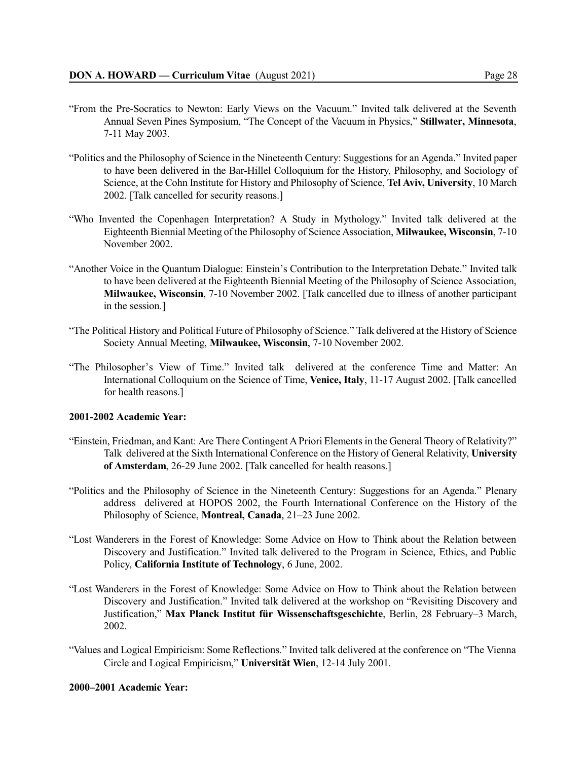- "From the Pre-Socratics to Newton: Early Views on the Vacuum." Invited talk delivered at the Seventh Annual Seven Pines Symposium, "The Concept of the Vacuum in Physics," **Stillwater, Minnesota**, 7-11 May 2003.
- "Politics and the Philosophy of Science in the Nineteenth Century: Suggestions for an Agenda." Invited paper to have been delivered in the Bar-Hillel Colloquium for the History, Philosophy, and Sociology of Science, at the Cohn Institute for History and Philosophy of Science, **Tel Aviv, University**, 10 March 2002. [Talk cancelled for security reasons.]
- "Who Invented the Copenhagen Interpretation? A Study in Mythology." Invited talk delivered at the Eighteenth Biennial Meeting of the Philosophy of Science Association, **Milwaukee, Wisconsin**, 7-10 November 2002.
- "Another Voice in the Quantum Dialogue: Einstein's Contribution to the Interpretation Debate." Invited talk to have been delivered at the Eighteenth Biennial Meeting of the Philosophy of Science Association, **Milwaukee, Wisconsin**, 7-10 November 2002. [Talk cancelled due to illness of another participant in the session.]
- "The Political History and Political Future of Philosophy of Science." Talk delivered at the History of Science Society Annual Meeting, **Milwaukee, Wisconsin**, 7-10 November 2002.
- "The Philosopher's View of Time." Invited talk delivered at the conference Time and Matter: An International Colloquium on the Science of Time, **Venice, Italy**, 11-17 August 2002. [Talk cancelled for health reasons.]

## **2001-2002 Academic Year:**

- "Einstein, Friedman, and Kant: Are There Contingent APriori Elementsin the General Theory of Relativity?" Talk delivered at the Sixth International Conference on the History of General Relativity, **University of Amsterdam**, 26-29 June 2002. [Talk cancelled for health reasons.]
- "Politics and the Philosophy of Science in the Nineteenth Century: Suggestions for an Agenda." Plenary address delivered at HOPOS 2002, the Fourth International Conference on the History of the Philosophy of Science, **Montreal, Canada**, 21–23 June 2002.
- "Lost Wanderers in the Forest of Knowledge: Some Advice on How to Think about the Relation between Discovery and Justification." Invited talk delivered to the Program in Science, Ethics, and Public Policy, **California Institute of Technology**, 6 June, 2002.
- "Lost Wanderers in the Forest of Knowledge: Some Advice on How to Think about the Relation between Discovery and Justification." Invited talk delivered at the workshop on "Revisiting Discovery and Justification," **Max Planck Institut für Wissenschaftsgeschichte**, Berlin, 28 February–3 March, 2002.
- "Values and Logical Empiricism: Some Reflections." Invited talk delivered at the conference on "The Vienna Circle and Logical Empiricism," **Universität Wien**, 12-14 July 2001.

## **2000–2001 Academic Year:**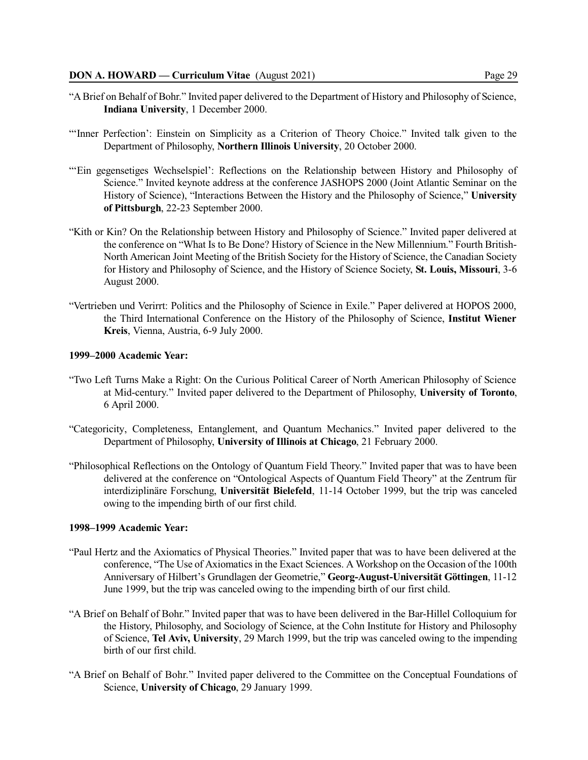- "A Brief on Behalf of Bohr." Invited paper delivered to the Department of History and Philosophy of Science, **Indiana University**, 1 December 2000.
- "'Inner Perfection': Einstein on Simplicity as a Criterion of Theory Choice." Invited talk given to the Department of Philosophy, **Northern Illinois University**, 20 October 2000.
- "'Ein gegensetiges Wechselspiel': Reflections on the Relationship between History and Philosophy of Science." Invited keynote address at the conference JASHOPS 2000 (Joint Atlantic Seminar on the History of Science), "Interactions Between the History and the Philosophy of Science," **University of Pittsburgh**, 22-23 September 2000.
- "Kith or Kin? On the Relationship between History and Philosophy of Science." Invited paper delivered at the conference on "What Is to Be Done? History of Science in the New Millennium." Fourth British-North American Joint Meeting of the British Society for the History of Science, the Canadian Society for History and Philosophy of Science, and the History of Science Society, **St. Louis, Missouri**, 3-6 August 2000.
- "Vertrieben und Verirrt: Politics and the Philosophy of Science in Exile." Paper delivered at HOPOS 2000, the Third International Conference on the History of the Philosophy of Science, **Institut Wiener Kreis**, Vienna, Austria, 6-9 July 2000.

#### **1999–2000 Academic Year:**

- "Two Left Turns Make a Right: On the Curious Political Career of North American Philosophy of Science at Mid-century." Invited paper delivered to the Department of Philosophy, **University of Toronto**, 6 April 2000.
- "Categoricity, Completeness, Entanglement, and Quantum Mechanics." Invited paper delivered to the Department of Philosophy, **University of Illinois at Chicago**, 21 February 2000.
- "Philosophical Reflections on the Ontology of Quantum Field Theory." Invited paper that was to have been delivered at the conference on "Ontological Aspects of Quantum Field Theory" at the Zentrum für interdiziplinäre Forschung, **Universität Bielefeld**, 11-14 October 1999, but the trip was canceled owing to the impending birth of our first child.

### **1998–1999 Academic Year:**

- "Paul Hertz and the Axiomatics of Physical Theories." Invited paper that was to have been delivered at the conference, "The Use of Axiomaticsin the Exact Sciences. A Workshop on the Occasion of the 100th Anniversary of Hilbert's Grundlagen der Geometrie," **Georg-August-Universität Göttingen**, 11-12 June 1999, but the trip was canceled owing to the impending birth of our first child.
- "A Brief on Behalf of Bohr." Invited paper that was to have been delivered in the Bar-Hillel Colloquium for the History, Philosophy, and Sociology of Science, at the Cohn Institute for History and Philosophy of Science, **Tel Aviv, University**, 29 March 1999, but the trip was canceled owing to the impending birth of our first child.
- "A Brief on Behalf of Bohr." Invited paper delivered to the Committee on the Conceptual Foundations of Science, **University of Chicago**, 29 January 1999.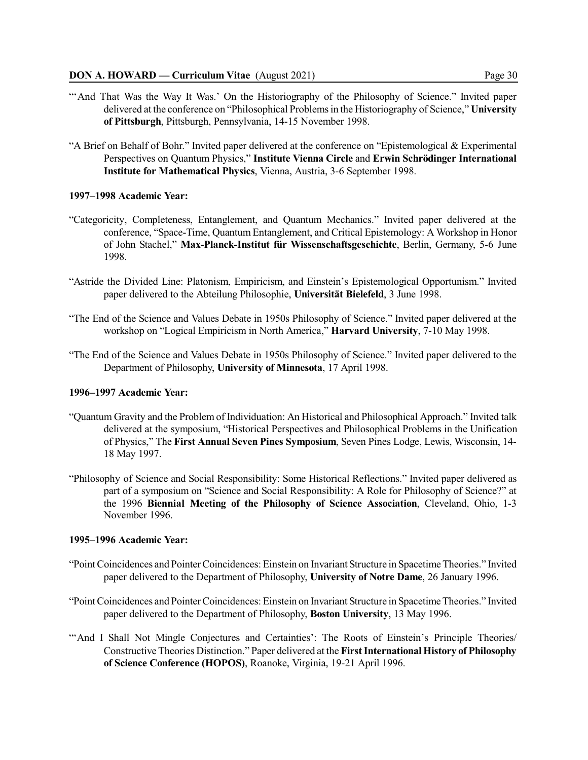- 
- "And That Was the Way It Was.' On the Historiography of the Philosophy of Science." Invited paper delivered at the conference on "Philosophical Problemsin the Historiography of Science," **University of Pittsburgh**, Pittsburgh, Pennsylvania, 14-15 November 1998.
- "A Brief on Behalf of Bohr." Invited paper delivered at the conference on "Epistemological & Experimental Perspectives on Quantum Physics," **Institute Vienna Circle** and **Erwin Schrödinger International Institute for Mathematical Physics**, Vienna, Austria, 3-6 September 1998.

### **1997–1998 Academic Year:**

- "Categoricity, Completeness, Entanglement, and Quantum Mechanics." Invited paper delivered at the conference, "Space-Time, Quantum Entanglement, and Critical Epistemology: A Workshop in Honor of John Stachel," **Max-Planck-Institut für Wissenschaftsgeschichte**, Berlin, Germany, 5-6 June 1998.
- "Astride the Divided Line: Platonism, Empiricism, and Einstein's Epistemological Opportunism." Invited paper delivered to the Abteilung Philosophie, **Universität Bielefeld**, 3 June 1998.
- "The End of the Science and Values Debate in 1950s Philosophy of Science." Invited paper delivered at the workshop on "Logical Empiricism in North America," **Harvard University**, 7-10 May 1998.
- "The End of the Science and Values Debate in 1950s Philosophy of Science." Invited paper delivered to the Department of Philosophy, **University of Minnesota**, 17 April 1998.

#### **1996–1997 Academic Year:**

- "Quantum Gravity and the Problem of Individuation: An Historical and Philosophical Approach." Invited talk delivered at the symposium, "Historical Perspectives and Philosophical Problems in the Unification of Physics," The **First Annual Seven Pines Symposium**, Seven Pines Lodge, Lewis, Wisconsin, 14- 18 May 1997.
- "Philosophy of Science and Social Responsibility: Some Historical Reflections." Invited paper delivered as part of a symposium on "Science and Social Responsibility: A Role for Philosophy of Science?" at the 1996 **Biennial Meeting of the Philosophy of Science Association**, Cleveland, Ohio, 1-3 November 1996.

#### **1995–1996 Academic Year:**

- "PointCoincidences and PointerCoincidences: Einstein on Invariant Structure in SpacetimeTheories." Invited paper delivered to the Department of Philosophy, **University of Notre Dame**, 26 January 1996.
- "Point Coincidences and Pointer Coincidences: Einstein on Invariant Structure in Spacetime Theories." Invited paper delivered to the Department of Philosophy, **Boston University**, 13 May 1996.
- ""And I Shall Not Mingle Conjectures and Certainties': The Roots of Einstein's Principle Theories/ Constructive Theories Distinction." Paper delivered at the **FirstInternational History of Philosophy of Science Conference (HOPOS)**, Roanoke, Virginia, 19-21 April 1996.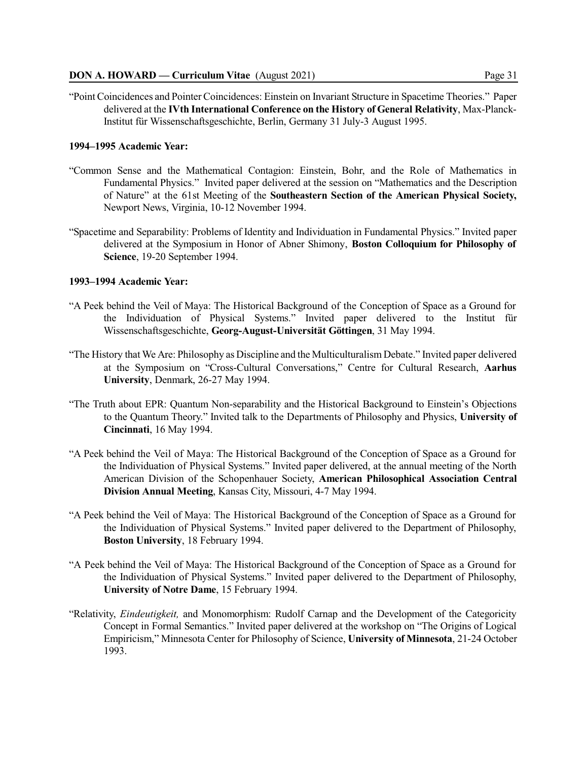"Point Coincidences and PointerCoincidences: Einstein on Invariant Structure in Spacetime Theories." Paper delivered at the **IVth International Conference on the History of General Relativity**, Max-Planck-Institut für Wissenschaftsgeschichte, Berlin, Germany 31 July-3 August 1995.

#### **1994–1995 Academic Year:**

- "Common Sense and the Mathematical Contagion: Einstein, Bohr, and the Role of Mathematics in Fundamental Physics." Invited paper delivered at the session on "Mathematics and the Description of Nature" at the 61st Meeting of the **Southeastern Section of the American Physical Society,** Newport News, Virginia, 10-12 November 1994.
- "Spacetime and Separability: Problems of Identity and Individuation in Fundamental Physics." Invited paper delivered at the Symposium in Honor of Abner Shimony, **Boston Colloquium for Philosophy of Science**, 19-20 September 1994.

#### **1993–1994 Academic Year:**

- "A Peek behind the Veil of Maya: The Historical Background of the Conception of Space as a Ground for the Individuation of Physical Systems." Invited paper delivered to the Institut für Wissenschaftsgeschichte, **Georg-August-Universität Göttingen**, 31 May 1994.
- "The History that We Are: Philosophy as Discipline and the Multiculturalism Debate." Invited paper delivered at the Symposium on "Cross-Cultural Conversations," Centre for Cultural Research, **Aarhus University**, Denmark, 26-27 May 1994.
- "The Truth about EPR: Quantum Non-separability and the Historical Background to Einstein's Objections to the Quantum Theory." Invited talk to the Departments of Philosophy and Physics, **University of Cincinnati**, 16 May 1994.
- "A Peek behind the Veil of Maya: The Historical Background of the Conception of Space as a Ground for the Individuation of Physical Systems." Invited paper delivered, at the annual meeting of the North American Division of the Schopenhauer Society, **American Philosophical Association Central Division Annual Meeting**, Kansas City, Missouri, 4-7 May 1994.
- "A Peek behind the Veil of Maya: The Historical Background of the Conception of Space as a Ground for the Individuation of Physical Systems." Invited paper delivered to the Department of Philosophy, **Boston University**, 18 February 1994.
- "A Peek behind the Veil of Maya: The Historical Background of the Conception of Space as a Ground for the Individuation of Physical Systems." Invited paper delivered to the Department of Philosophy, **University of Notre Dame**, 15 February 1994.
- "Relativity, *Eindeutigkeit,* and Monomorphism: Rudolf Carnap and the Development of the Categoricity Concept in Formal Semantics." Invited paper delivered at the workshop on "The Origins of Logical Empiricism," Minnesota Center for Philosophy of Science, **University of Minnesota**, 21-24 October 1993.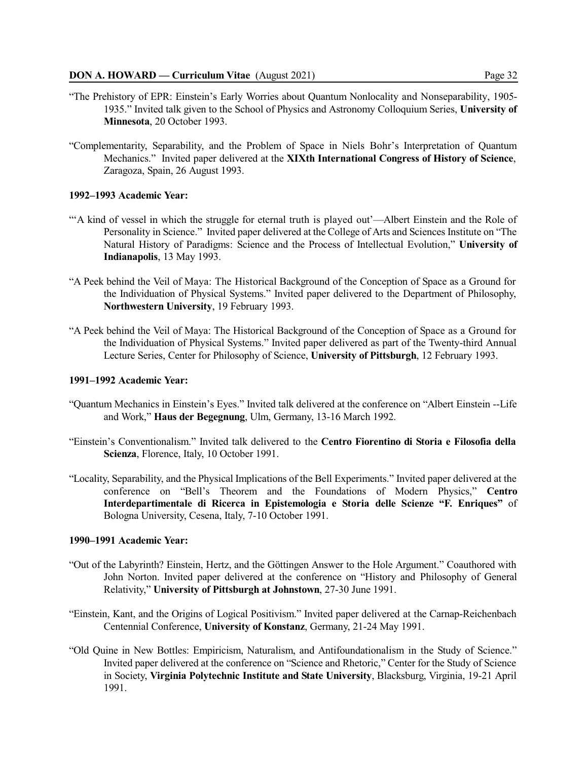- "The Prehistory of EPR: Einstein's Early Worries about Quantum Nonlocality and Nonseparability, 1905-
- 1935." Invited talk given to the School of Physics and Astronomy Colloquium Series, **University of Minnesota**, 20 October 1993.
- "Complementarity, Separability, and the Problem of Space in Niels Bohr's Interpretation of Quantum Mechanics." Invited paper delivered at the **XIXth International Congress of History of Science**, Zaragoza, Spain, 26 August 1993.

### **1992–1993 Academic Year:**

- "'A kind of vessel in which the struggle for eternal truth is played out'—Albert Einstein and the Role of Personality in Science." Invited paper delivered at the College of Arts and Sciences Institute on "The Natural History of Paradigms: Science and the Process of Intellectual Evolution," **University of Indianapolis**, 13 May 1993.
- "A Peek behind the Veil of Maya: The Historical Background of the Conception of Space as a Ground for the Individuation of Physical Systems." Invited paper delivered to the Department of Philosophy, **Northwestern University**, 19 February 1993.
- "A Peek behind the Veil of Maya: The Historical Background of the Conception of Space as a Ground for the Individuation of Physical Systems." Invited paper delivered as part of the Twenty-third Annual Lecture Series, Center for Philosophy of Science, **University of Pittsburgh**, 12 February 1993.

## **1991–1992 Academic Year:**

- "Quantum Mechanics in Einstein's Eyes." Invited talk delivered at the conference on "Albert Einstein --Life and Work," **Haus der Begegnung**, Ulm, Germany, 13-16 March 1992.
- "Einstein's Conventionalism." Invited talk delivered to the **Centro Fiorentino di Storia e Filosofia della Scienza**, Florence, Italy, 10 October 1991.
- "Locality, Separability, and the Physical Implications of the Bell Experiments." Invited paper delivered at the conference on "Bell's Theorem and the Foundations of Modern Physics," **Centro Interdepartimentale di Ricerca in Epistemologia e Storia delle Scienze "F. Enriques"** of Bologna University, Cesena, Italy, 7-10 October 1991.

#### **1990–1991 Academic Year:**

- "Out of the Labyrinth? Einstein, Hertz, and the Göttingen Answer to the Hole Argument." Coauthored with John Norton. Invited paper delivered at the conference on "History and Philosophy of General Relativity," **University of Pittsburgh at Johnstown**, 27-30 June 1991.
- "Einstein, Kant, and the Origins of Logical Positivism." Invited paper delivered at the Carnap-Reichenbach Centennial Conference, **University of Konstanz**, Germany, 21-24 May 1991.
- "Old Quine in New Bottles: Empiricism, Naturalism, and Antifoundationalism in the Study of Science." Invited paper delivered at the conference on "Science and Rhetoric," Center for the Study of Science in Society, **Virginia Polytechnic Institute and State University**, Blacksburg, Virginia, 19-21 April 1991.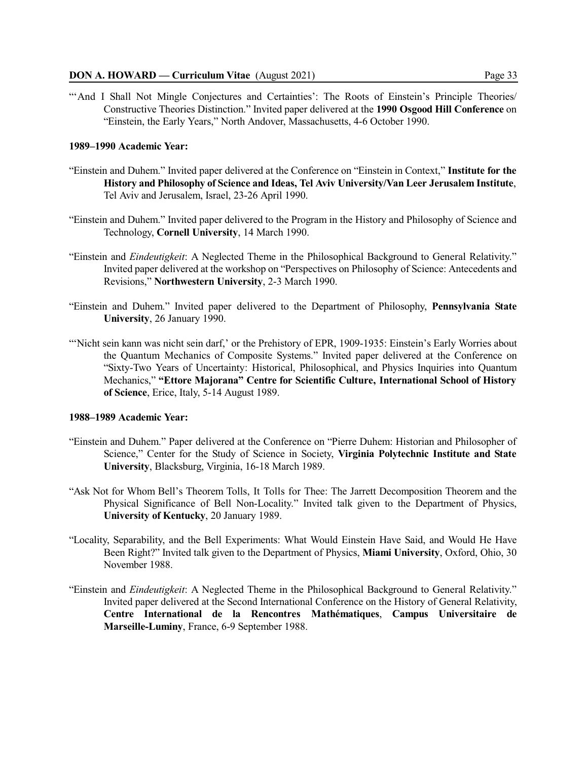"'And I Shall Not Mingle Conjectures and Certainties': The Roots of Einstein's Principle Theories Constructive Theories Distinction." Invited paper delivered at the **1990 Osgood Hill Conference** on "Einstein, the Early Years," North Andover, Massachusetts, 4-6 October 1990.

#### **1989–1990 Academic Year:**

- "Einstein and Duhem." Invited paper delivered at the Conference on "Einstein in Context," **Institute for the History and Philosophy of Science and Ideas, Tel Aviv University/Van Leer Jerusalem Institute**, Tel Aviv and Jerusalem, Israel, 23-26 April 1990.
- "Einstein and Duhem." Invited paper delivered to the Program in the History and Philosophy of Science and Technology, **Cornell University**, 14 March 1990.
- "Einstein and *Eindeutigkeit*: A Neglected Theme in the Philosophical Background to General Relativity." Invited paper delivered at the workshop on "Perspectives on Philosophy of Science: Antecedents and Revisions," **Northwestern University**, 2-3 March 1990.
- "Einstein and Duhem." Invited paper delivered to the Department of Philosophy, **Pennsylvania State University**, 26 January 1990.
- "Nicht sein kann was nicht sein darf,' or the Prehistory of EPR, 1909-1935: Einstein's Early Worries about the Quantum Mechanics of Composite Systems." Invited paper delivered at the Conference on "Sixty-Two Years of Uncertainty: Historical, Philosophical, and Physics Inquiries into Quantum Mechanics," **"Ettore Majorana" Centre for Scientific Culture, International School of History of Science**, Erice, Italy, 5-14 August 1989.

### **1988–1989 Academic Year:**

- "Einstein and Duhem." Paper delivered at the Conference on "Pierre Duhem: Historian and Philosopher of Science," Center for the Study of Science in Society, **Virginia Polytechnic Institute and State University**, Blacksburg, Virginia, 16-18 March 1989.
- "Ask Not for Whom Bell's Theorem Tolls, It Tolls for Thee: The Jarrett Decomposition Theorem and the Physical Significance of Bell Non-Locality." Invited talk given to the Department of Physics, **University of Kentucky**, 20 January 1989.
- "Locality, Separability, and the Bell Experiments: What Would Einstein Have Said, and Would He Have Been Right?" Invited talk given to the Department of Physics, **Miami University**, Oxford, Ohio, 30 November 1988.
- "Einstein and *Eindeutigkeit*: A Neglected Theme in the Philosophical Background to General Relativity." Invited paper delivered at the Second International Conference on the History of General Relativity, **Centre International de la Rencontres Mathématiques**, **Campus Universitaire de Marseille-Luminy**, France, 6-9 September 1988.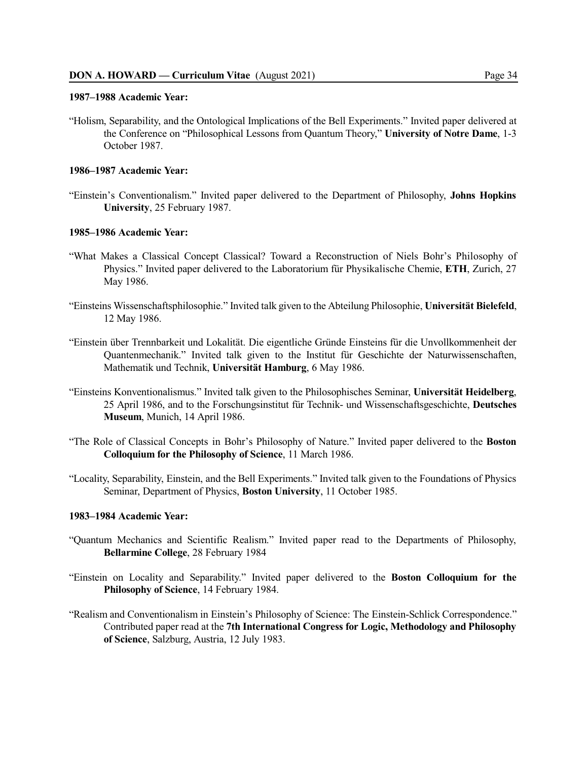#### **1987–1988 Academic Year:**

"Holism, Separability, and the Ontological Implications of the Bell Experiments." Invited paper delivered at the Conference on "Philosophical Lessons from Quantum Theory," **University of Notre Dame**, 1-3 October 1987.

### **1986–1987 Academic Year:**

"Einstein's Conventionalism." Invited paper delivered to the Department of Philosophy, **Johns Hopkins University**, 25 February 1987.

### **1985–1986 Academic Year:**

- "What Makes a Classical Concept Classical? Toward a Reconstruction of Niels Bohr's Philosophy of Physics." Invited paper delivered to the Laboratorium für Physikalische Chemie, **ETH**, Zurich, 27 May 1986.
- "Einsteins Wissenschaftsphilosophie." Invited talk given to the Abteilung Philosophie, **Universität Bielefeld**, 12 May 1986.
- "Einstein über Trennbarkeit und Lokalität. Die eigentliche Gründe Einsteins für die Unvollkommenheit der Quantenmechanik." Invited talk given to the Institut für Geschichte der Naturwissenschaften, Mathematik und Technik, **Universität Hamburg**, 6 May 1986.
- "Einsteins Konventionalismus." Invited talk given to the Philosophisches Seminar, **Universität Heidelberg**, 25 April 1986, and to the Forschungsinstitut für Technik- und Wissenschaftsgeschichte, **Deutsches Museum**, Munich, 14 April 1986.
- "The Role of Classical Concepts in Bohr's Philosophy of Nature." Invited paper delivered to the **Boston Colloquium for the Philosophy of Science**, 11 March 1986.
- "Locality, Separability, Einstein, and the Bell Experiments." Invited talk given to the Foundations of Physics Seminar, Department of Physics, **Boston University**, 11 October 1985.

#### **1983–1984 Academic Year:**

- "Quantum Mechanics and Scientific Realism." Invited paper read to the Departments of Philosophy, **Bellarmine College**, 28 February 1984
- "Einstein on Locality and Separability." Invited paper delivered to the **Boston Colloquium for the Philosophy of Science**, 14 February 1984.
- "Realism and Conventionalism in Einstein's Philosophy of Science: The Einstein-Schlick Correspondence." Contributed paper read at the **7th International Congress for Logic, Methodology and Philosophy of Science**, Salzburg, Austria, 12 July 1983.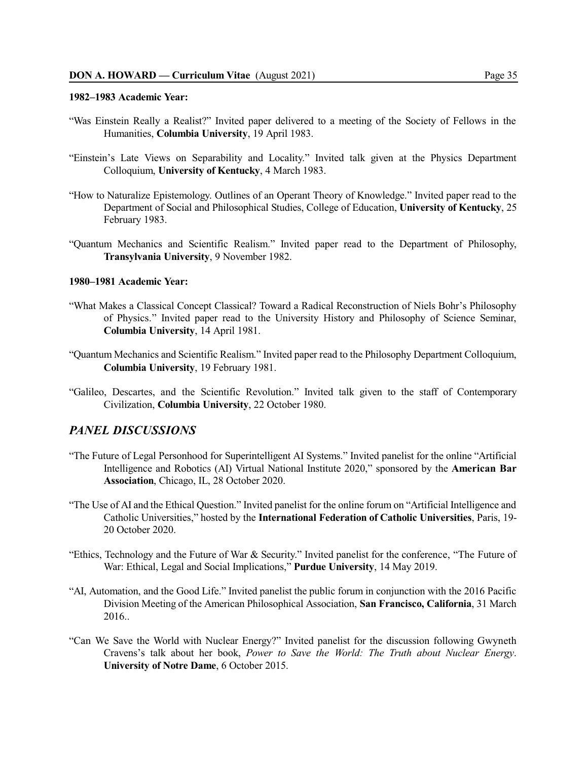#### **1982–1983 Academic Year:**

- "Was Einstein Really a Realist?" Invited paper delivered to a meeting of the Society of Fellows in the Humanities, **Columbia University**, 19 April 1983.
- "Einstein's Late Views on Separability and Locality." Invited talk given at the Physics Department Colloquium, **University of Kentucky**, 4 March 1983.
- "How to Naturalize Epistemology. Outlines of an Operant Theory of Knowledge." Invited paper read to the Department of Social and Philosophical Studies, College of Education, **University of Kentucky**, 25 February 1983.
- "Quantum Mechanics and Scientific Realism." Invited paper read to the Department of Philosophy, **Transylvania University**, 9 November 1982.

#### **1980–1981 Academic Year:**

- "What Makes a Classical Concept Classical? Toward a Radical Reconstruction of Niels Bohr's Philosophy of Physics." Invited paper read to the University History and Philosophy of Science Seminar, **Columbia University**, 14 April 1981.
- "Quantum Mechanics and Scientific Realism." Invited paper read to the Philosophy Department Colloquium, **Columbia University**, 19 February 1981.
- "Galileo, Descartes, and the Scientific Revolution." Invited talk given to the staff of Contemporary Civilization, **Columbia University**, 22 October 1980.

### *PANEL DISCUSSIONS*

- "The Future of Legal Personhood for Superintelligent AI Systems." Invited panelist for the online "Artificial Intelligence and Robotics (AI) Virtual National Institute 2020," sponsored by the **American Bar Association**, Chicago, IL, 28 October 2020.
- "The Use of AI and the Ethical Question." Invited panelist for the online forum on "Artificial Intelligence and Catholic Universities," hosted by the **International Federation of Catholic Universities**, Paris, 19- 20 October 2020.
- "Ethics, Technology and the Future of War & Security." Invited panelist for the conference, "The Future of War: Ethical, Legal and Social Implications," **Purdue University**, 14 May 2019.
- "AI, Automation, and the Good Life." Invited panelist the public forum in conjunction with the 2016 Pacific Division Meeting of the American Philosophical Association, **San Francisco, California**, 31 March 2016..
- "Can We Save the World with Nuclear Energy?" Invited panelist for the discussion following Gwyneth Cravens's talk about her book, *Power to Save the World: The Truth about Nuclear Energy*. **University of Notre Dame**, 6 October 2015.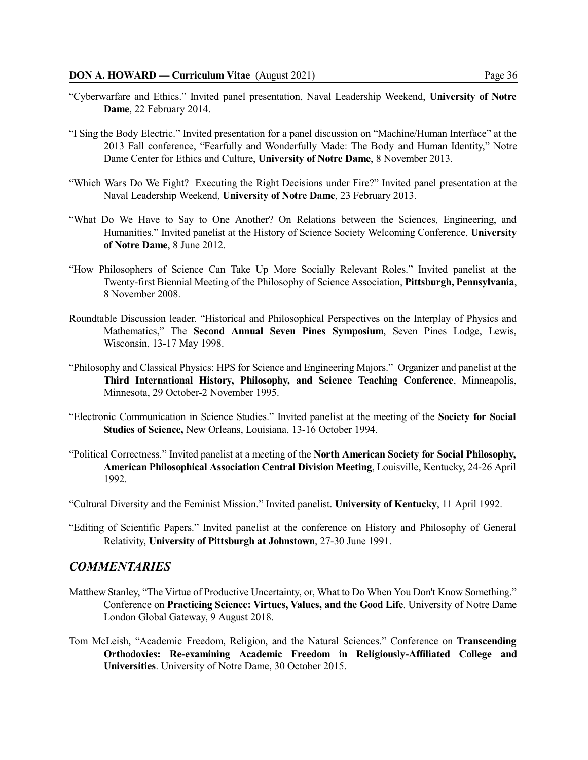- "Cyberwarfare and Ethics." Invited panel presentation, Naval Leadership Weekend, **University of Notre Dame**, 22 February 2014.
- "I Sing the Body Electric." Invited presentation for a panel discussion on "Machine/Human Interface" at the 2013 Fall conference, "Fearfully and Wonderfully Made: The Body and Human Identity," Notre Dame Center for Ethics and Culture, **University of Notre Dame**, 8 November 2013.
- "Which Wars Do We Fight? Executing the Right Decisions under Fire?" Invited panel presentation at the Naval Leadership Weekend, **University of Notre Dame**, 23 February 2013.
- "What Do We Have to Say to One Another? On Relations between the Sciences, Engineering, and Humanities." Invited panelist at the History of Science Society Welcoming Conference, **University of Notre Dame**, 8 June 2012.
- "How Philosophers of Science Can Take Up More Socially Relevant Roles." Invited panelist at the Twenty-first Biennial Meeting of the Philosophy of Science Association, **Pittsburgh, Pennsylvania**, 8 November 2008.
- Roundtable Discussion leader. "Historical and Philosophical Perspectives on the Interplay of Physics and Mathematics," The **Second Annual Seven Pines Symposium**, Seven Pines Lodge, Lewis, Wisconsin, 13-17 May 1998.
- "Philosophy and Classical Physics: HPS for Science and Engineering Majors." Organizer and panelist at the **Third International History, Philosophy, and Science Teaching Conference**, Minneapolis, Minnesota, 29 October-2 November 1995.
- "Electronic Communication in Science Studies." Invited panelist at the meeting of the **Society for Social Studies of Science,** New Orleans, Louisiana, 13-16 October 1994.
- "Political Correctness." Invited panelist at a meeting of the **North American Society for Social Philosophy, American Philosophical Association Central Division Meeting**, Louisville, Kentucky, 24-26 April 1992.

"Cultural Diversity and the Feminist Mission." Invited panelist. **University of Kentucky**, 11 April 1992.

"Editing of Scientific Papers." Invited panelist at the conference on History and Philosophy of General Relativity, **University of Pittsburgh at Johnstown**, 27-30 June 1991.

# *COMMENTARIES*

- Matthew Stanley, "The Virtue of Productive Uncertainty, or, What to Do When You Don't Know Something." Conference on **Practicing Science: Virtues, Values, and the Good Life**. University of Notre Dame London Global Gateway, 9 August 2018.
- Tom McLeish, "Academic Freedom, Religion, and the Natural Sciences." Conference on **Transcending Orthodoxies: Re-examining Academic Freedom in Religiously-Affiliated College and Universities**. University of Notre Dame, 30 October 2015.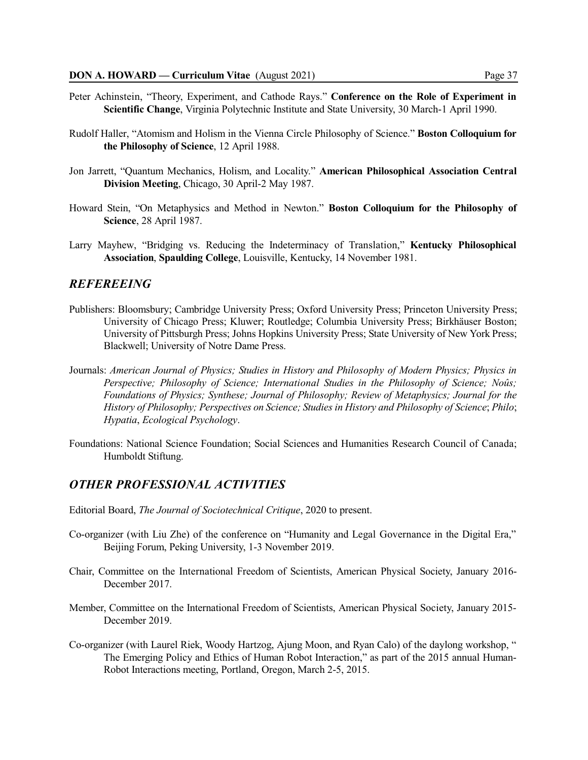- Peter Achinstein, "Theory, Experiment, and Cathode Rays." **Conference on the Role of Experiment in Scientific Change**, Virginia Polytechnic Institute and State University, 30 March-1 April 1990.
- Rudolf Haller, "Atomism and Holism in the Vienna Circle Philosophy of Science." **Boston Colloquium for the Philosophy of Science**, 12 April 1988.
- Jon Jarrett, "Quantum Mechanics, Holism, and Locality." **American Philosophical Association Central Division Meeting**, Chicago, 30 April-2 May 1987.
- Howard Stein, "On Metaphysics and Method in Newton." **Boston Colloquium for the Philosophy of Science**, 28 April 1987.
- Larry Mayhew, "Bridging vs. Reducing the Indeterminacy of Translation," **Kentucky Philosophical Association**, **Spaulding College**, Louisville, Kentucky, 14 November 1981.

## *REFEREEING*

- Publishers: Bloomsbury; Cambridge University Press; Oxford University Press; Princeton University Press; University of Chicago Press; Kluwer; Routledge; Columbia University Press; Birkhäuser Boston; University of Pittsburgh Press; Johns Hopkins University Press; State University of New York Press; Blackwell; University of Notre Dame Press.
- Journals: *American Journal of Physics; Studies in History and Philosophy of Modern Physics; Physics in Perspective; Philosophy of Science; International Studies in the Philosophy of Science; Noûs; Foundations of Physics; Synthese; Journal of Philosophy; Review of Metaphysics; Journal for the History of Philosophy; Perspectives on Science; Studies in History and Philosophy of Science*; *Philo*; *Hypatia*, *Ecological Psychology*.
- Foundations: National Science Foundation; Social Sciences and Humanities Research Council of Canada; Humboldt Stiftung.

## *OTHER PROFESSIONAL ACTIVITIES*

- Editorial Board, *The Journal of Sociotechnical Critique*, 2020 to present.
- Co-organizer (with Liu Zhe) of the conference on "Humanity and Legal Governance in the Digital Era," Beijing Forum, Peking University, 1-3 November 2019.
- Chair, Committee on the International Freedom of Scientists, American Physical Society, January 2016- December 2017.
- Member, Committee on the International Freedom of Scientists, American Physical Society, January 2015- December 2019.
- Co-organizer (with Laurel Riek, Woody Hartzog, Ajung Moon, and Ryan Calo) of the daylong workshop, " The Emerging Policy and Ethics of Human Robot Interaction," as part of the 2015 annual Human-Robot Interactions meeting, Portland, Oregon, March 2-5, 2015.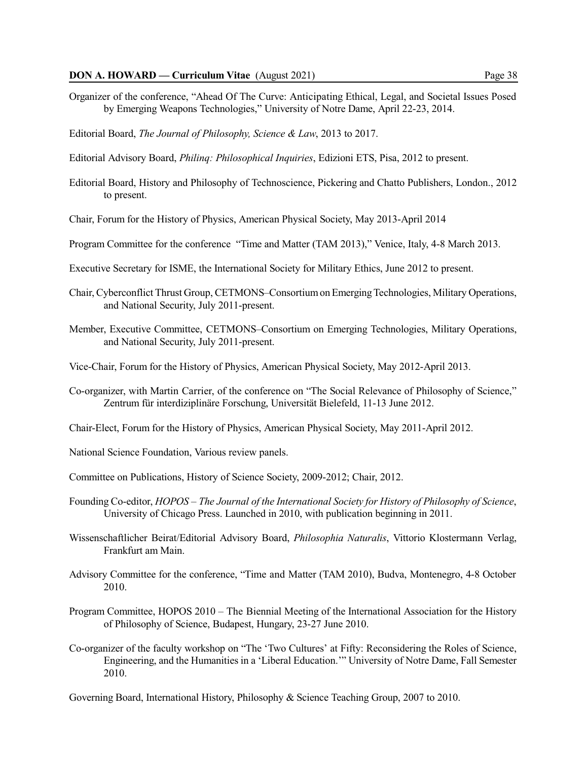- Organizer of the conference, "Ahead Of The Curve: Anticipating Ethical, Legal, and Societal Issues Posed by Emerging Weapons Technologies," University of Notre Dame, April 22-23, 2014.
- Editorial Board, *The Journal of Philosophy, Science & Law*, 2013 to 2017.
- Editorial Advisory Board, *Philinq: Philosophical Inquiries*, Edizioni ETS, Pisa, 2012 to present.
- Editorial Board, History and Philosophy of Technoscience, Pickering and Chatto Publishers, London., 2012 to present.
- Chair, Forum for the History of Physics, American Physical Society, May 2013-April 2014
- Program Committee for the conference "Time and Matter (TAM 2013)," Venice, Italy, 4-8 March 2013.
- Executive Secretary for ISME, the International Society for Military Ethics, June 2012 to present.
- Chair, Cyberconflict Thrust Group, CETMONS–ConsortiumonEmergingTechnologies, Military Operations, and National Security, July 2011-present.
- Member, Executive Committee, CETMONS–Consortium on Emerging Technologies, Military Operations, and National Security, July 2011-present.
- Vice-Chair, Forum for the History of Physics, American Physical Society, May 2012-April 2013.
- Co-organizer, with Martin Carrier, of the conference on "The Social Relevance of Philosophy of Science," Zentrum für interdiziplinäre Forschung, Universität Bielefeld, 11-13 June 2012.
- Chair-Elect, Forum for the History of Physics, American Physical Society, May 2011-April 2012.
- National Science Foundation, Various review panels.
- Committee on Publications, History of Science Society, 2009-2012; Chair, 2012.
- Founding Co-editor, *HOPOS – The Journal of the International Society for History of Philosophy of Science*, University of Chicago Press. Launched in 2010, with publication beginning in 2011.
- Wissenschaftlicher Beirat/Editorial Advisory Board, *Philosophia Naturalis*, Vittorio Klostermann Verlag, Frankfurt am Main.
- Advisory Committee for the conference, "Time and Matter (TAM 2010), Budva, Montenegro, 4-8 October 2010.
- Program Committee, HOPOS 2010 The Biennial Meeting of the International Association for the History of Philosophy of Science, Budapest, Hungary, 23-27 June 2010.
- Co-organizer of the faculty workshop on "The 'Two Cultures' at Fifty: Reconsidering the Roles of Science, Engineering, and the Humanities in a 'Liberal Education.'" University of Notre Dame, Fall Semester 2010.
- Governing Board, International History, Philosophy & Science Teaching Group, 2007 to 2010.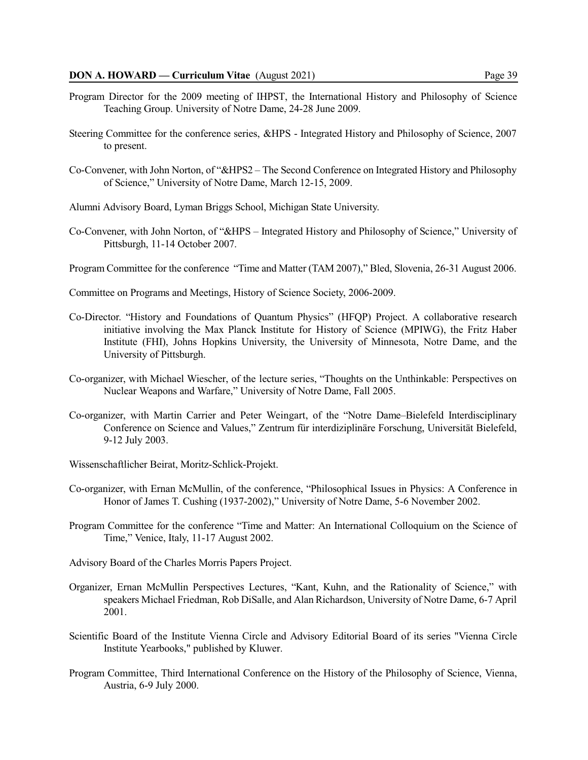- Program Director for the 2009 meeting of IHPST, the International History and Philosophy of Science Teaching Group. University of Notre Dame, 24-28 June 2009.
- Steering Committee for the conference series, &HPS Integrated History and Philosophy of Science, 2007 to present.
- Co-Convener, with John Norton, of "&HPS2 The Second Conference on Integrated History and Philosophy of Science," University of Notre Dame, March 12-15, 2009.
- Alumni Advisory Board, Lyman Briggs School, Michigan State University.
- Co-Convener, with John Norton, of "&HPS Integrated History and Philosophy of Science," University of Pittsburgh, 11-14 October 2007.
- Program Committee for the conference "Time and Matter (TAM 2007)," Bled, Slovenia, 26-31 August 2006.
- Committee on Programs and Meetings, History of Science Society, 2006-2009.
- Co-Director. "History and Foundations of Quantum Physics" (HFQP) Project. A collaborative research initiative involving the Max Planck Institute for History of Science (MPIWG), the Fritz Haber Institute (FHI), Johns Hopkins University, the University of Minnesota, Notre Dame, and the University of Pittsburgh.
- Co-organizer, with Michael Wiescher, of the lecture series, "Thoughts on the Unthinkable: Perspectives on Nuclear Weapons and Warfare," University of Notre Dame, Fall 2005.
- Co-organizer, with Martin Carrier and Peter Weingart, of the "Notre Dame–Bielefeld Interdisciplinary Conference on Science and Values," Zentrum für interdiziplinäre Forschung, Universität Bielefeld, 9-12 July 2003.
- Wissenschaftlicher Beirat, Moritz-Schlick-Projekt.
- Co-organizer, with Ernan McMullin, of the conference, "Philosophical Issues in Physics: A Conference in Honor of James T. Cushing (1937-2002)," University of Notre Dame, 5-6 November 2002.
- Program Committee for the conference "Time and Matter: An International Colloquium on the Science of Time," Venice, Italy, 11-17 August 2002.
- Advisory Board of the Charles Morris Papers Project.
- Organizer, Ernan McMullin Perspectives Lectures, "Kant, Kuhn, and the Rationality of Science," with speakers Michael Friedman, Rob DiSalle, and Alan Richardson, University of Notre Dame, 6-7 April 2001.
- Scientific Board of the Institute Vienna Circle and Advisory Editorial Board of its series "Vienna Circle Institute Yearbooks," published by Kluwer.
- Program Committee, Third International Conference on the History of the Philosophy of Science, Vienna, Austria, 6-9 July 2000.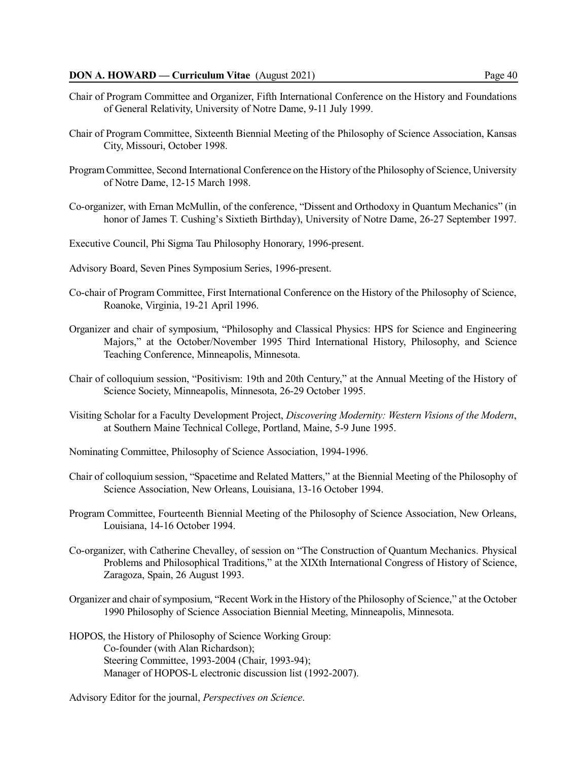### **DON A. HOWARD — Curriculum Vitae** (August 2021) Page 40

- Chair of Program Committee and Organizer, Fifth International Conference on the History and Foundations of General Relativity, University of Notre Dame, 9-11 July 1999.
- Chair of Program Committee, Sixteenth Biennial Meeting of the Philosophy of Science Association, Kansas City, Missouri, October 1998.
- ProgramCommittee, Second International Conference on the History of the Philosophy of Science, University of Notre Dame, 12-15 March 1998.
- Co-organizer, with Ernan McMullin, of the conference, "Dissent and Orthodoxy in Quantum Mechanics" (in honor of James T. Cushing's Sixtieth Birthday), University of Notre Dame, 26-27 September 1997.
- Executive Council, Phi Sigma Tau Philosophy Honorary, 1996-present.
- Advisory Board, Seven Pines Symposium Series, 1996-present.
- Co-chair of Program Committee, First International Conference on the History of the Philosophy of Science, Roanoke, Virginia, 19-21 April 1996.
- Organizer and chair of symposium, "Philosophy and Classical Physics: HPS for Science and Engineering Majors," at the October/November 1995 Third International History, Philosophy, and Science Teaching Conference, Minneapolis, Minnesota.
- Chair of colloquium session, "Positivism: 19th and 20th Century," at the Annual Meeting of the History of Science Society, Minneapolis, Minnesota, 26-29 October 1995.
- Visiting Scholar for a Faculty Development Project, *Discovering Modernity: Western Visions of the Modern*, at Southern Maine Technical College, Portland, Maine, 5-9 June 1995.
- Nominating Committee, Philosophy of Science Association, 1994-1996.
- Chair of colloquium session, "Spacetime and Related Matters," at the Biennial Meeting of the Philosophy of Science Association, New Orleans, Louisiana, 13-16 October 1994.
- Program Committee, Fourteenth Biennial Meeting of the Philosophy of Science Association, New Orleans, Louisiana, 14-16 October 1994.
- Co-organizer, with Catherine Chevalley, of session on "The Construction of Quantum Mechanics. Physical Problems and Philosophical Traditions," at the XIXth International Congress of History of Science, Zaragoza, Spain, 26 August 1993.
- Organizer and chair ofsymposium, "Recent Work in the History of the Philosophy of Science," at the October 1990 Philosophy of Science Association Biennial Meeting, Minneapolis, Minnesota.
- HOPOS, the History of Philosophy of Science Working Group: Co-founder (with Alan Richardson); Steering Committee, 1993-2004 (Chair, 1993-94); Manager of HOPOS-L electronic discussion list (1992-2007).
- Advisory Editor for the journal, *Perspectives on Science*.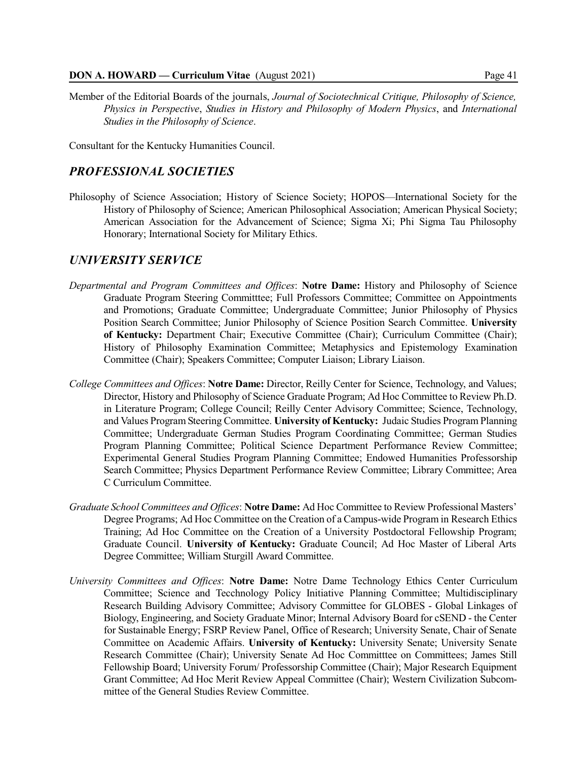### **DON A. HOWARD — Curriculum Vitae** (August 2021) Page 41

Member of the Editorial Boards of the journals, *Journal of Sociotechnical Critique, Philosophy of Science, Physics in Perspective*, *Studies in History and Philosophy of Modern Physics*, and *International Studies in the Philosophy of Science*.

Consultant for the Kentucky Humanities Council.

# *PROFESSIONAL SOCIETIES*

Philosophy of Science Association; History of Science Society; HOPOS—International Society for the History of Philosophy of Science; American Philosophical Association; American Physical Society; American Association for the Advancement of Science; Sigma Xi; Phi Sigma Tau Philosophy Honorary; International Society for Military Ethics.

# *UNIVERSITY SERVICE*

- *Departmental and Program Committees and Offices*: **Notre Dame:** History and Philosophy of Science Graduate Program Steering Committtee; Full Professors Committee; Committee on Appointments and Promotions; Graduate Committee; Undergraduate Committee; Junior Philosophy of Physics Position Search Committee; Junior Philosophy of Science Position Search Committee. **University of Kentucky:** Department Chair; Executive Committee (Chair); Curriculum Committee (Chair); History of Philosophy Examination Committee; Metaphysics and Epistemology Examination Committee (Chair); Speakers Committee; Computer Liaison; Library Liaison.
- *College Committees and Offices*: **Notre Dame:** Director, Reilly Center for Science, Technology, and Values; Director, History and Philosophy of Science Graduate Program; Ad Hoc Committee to Review Ph.D. in Literature Program; College Council; Reilly Center Advisory Committee; Science, Technology, and Values Program Steering Committee. **University of Kentucky:** Judaic Studies Program Planning Committee; Undergraduate German Studies Program Coordinating Committee; German Studies Program Planning Committee; Political Science Department Performance Review Committee; Experimental General Studies Program Planning Committee; Endowed Humanities Professorship Search Committee; Physics Department Performance Review Committee; Library Committee; Area C Curriculum Committee.
- *Graduate School Committees and Offices*: **Notre Dame:** Ad Hoc Committee to Review Professional Masters' Degree Programs; Ad Hoc Committee on the Creation of a Campus-wide Program in Research Ethics Training; Ad Hoc Committee on the Creation of a University Postdoctoral Fellowship Program; Graduate Council. **University of Kentucky:** Graduate Council; Ad Hoc Master of Liberal Arts Degree Committee; William Sturgill Award Committee.
- *University Committees and Offices*: **Notre Dame:** Notre Dame Technology Ethics Center Curriculum Committee; Science and Tecchnology Policy Initiative Planning Committee; Multidisciplinary Research Building Advisory Committee; Advisory Committee for GLOBES - Global Linkages of Biology, Engineering, and Society Graduate Minor; Internal Advisory Board for cSEND - the Center for Sustainable Energy; FSRP Review Panel, Office of Research; University Senate, Chair of Senate Committee on Academic Affairs. **University of Kentucky:** University Senate; University Senate Research Committee (Chair); University Senate Ad Hoc Committee on Committees; James Still Fellowship Board; University Forum/ Professorship Committee (Chair); Major Research Equipment Grant Committee; Ad Hoc Merit Review Appeal Committee (Chair); Western Civilization Subcommittee of the General Studies Review Committee.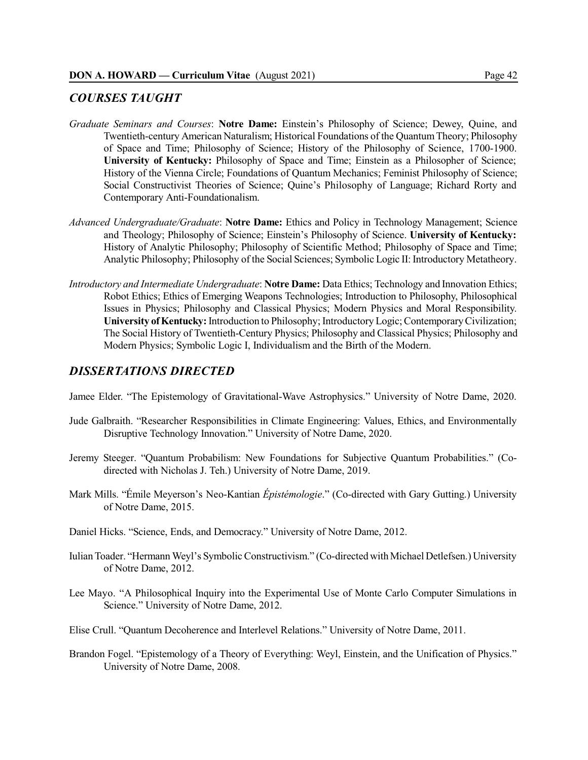# *COURSES TAUGHT*

- *Graduate Seminars and Courses*: **Notre Dame:** Einstein's Philosophy of Science; Dewey, Quine, and Twentieth-century American Naturalism; Historical Foundations of the QuantumTheory; Philosophy of Space and Time; Philosophy of Science; History of the Philosophy of Science, 1700-1900. **University of Kentucky:** Philosophy of Space and Time; Einstein as a Philosopher of Science; History of the Vienna Circle; Foundations of Quantum Mechanics; Feminist Philosophy of Science; Social Constructivist Theories of Science; Quine's Philosophy of Language; Richard Rorty and Contemporary Anti-Foundationalism.
- *Advanced Undergraduate/Graduate*: **Notre Dame:** Ethics and Policy in Technology Management; Science and Theology; Philosophy of Science; Einstein's Philosophy of Science. **University of Kentucky:** History of Analytic Philosophy; Philosophy of Scientific Method; Philosophy of Space and Time; Analytic Philosophy; Philosophy of the Social Sciences; Symbolic Logic II: Introductory Metatheory.
- *Introductory and Intermediate Undergraduate*: **Notre Dame:** Data Ethics; Technology and Innovation Ethics; Robot Ethics; Ethics of Emerging Weapons Technologies; Introduction to Philosophy, Philosophical Issues in Physics; Philosophy and Classical Physics; Modern Physics and Moral Responsibility. **University ofKentucky:**Introduction to Philosophy; Introductory Logic;ContemporaryCivilization; The Social History of Twentieth-Century Physics; Philosophy and Classical Physics; Philosophy and Modern Physics; Symbolic Logic I, Individualism and the Birth of the Modern.

# *DISSERTATIONS DIRECTED*

- Jamee Elder. "The Epistemology of Gravitational-Wave Astrophysics." University of Notre Dame, 2020.
- Jude Galbraith. "Researcher Responsibilities in Climate Engineering: Values, Ethics, and Environmentally Disruptive Technology Innovation." University of Notre Dame, 2020.
- Jeremy Steeger. "Quantum Probabilism: New Foundations for Subjective Quantum Probabilities." (Codirected with Nicholas J. Teh.) University of Notre Dame, 2019.
- Mark Mills. "Émile Meyerson's Neo-Kantian *Épistémologie*." (Co-directed with Gary Gutting.) University of Notre Dame, 2015.
- Daniel Hicks. "Science, Ends, and Democracy." University of Notre Dame, 2012.
- IulianToader. "Hermann Weyl's Symbolic Constructivism." (Co-directed withMichael Detlefsen.) University of Notre Dame, 2012.
- Lee Mayo. "A Philosophical Inquiry into the Experimental Use of Monte Carlo Computer Simulations in Science." University of Notre Dame, 2012.
- Elise Crull. "Quantum Decoherence and Interlevel Relations." University of Notre Dame, 2011.
- Brandon Fogel. "Epistemology of a Theory of Everything: Weyl, Einstein, and the Unification of Physics." University of Notre Dame, 2008.